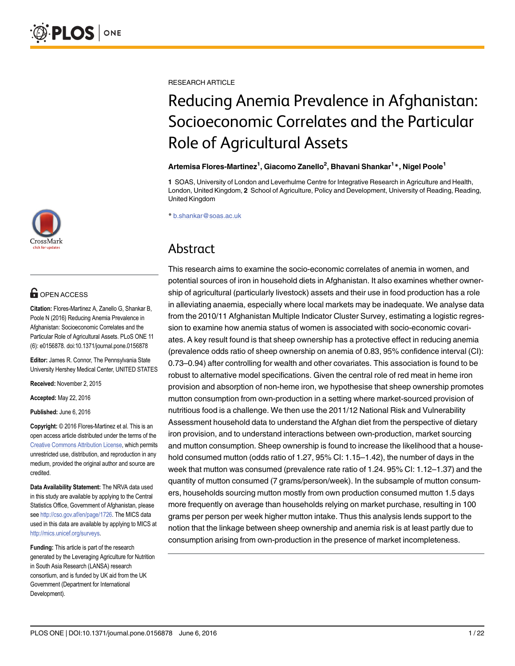

## **OPEN ACCESS**

Citation: Flores-Martinez A, Zanello G, Shankar B, Poole N (2016) Reducing Anemia Prevalence in Afghanistan: Socioeconomic Correlates and the Particular Role of Agricultural Assets. PLoS ONE 11 (6): e0156878. doi:10.1371/journal.pone.0156878

Editor: James R. Connor, The Pennsylvania State University Hershey Medical Center, UNITED STATES

Received: November 2, 2015

Accepted: May 22, 2016

Published: June 6, 2016

Copyright: © 2016 Flores-Martinez et al. This is an open access article distributed under the terms of the [Creative Commons Attribution License,](http://creativecommons.org/licenses/by/4.0/) which permits unrestricted use, distribution, and reproduction in any medium, provided the original author and source are credited.

Data Availability Statement: The NRVA data used in this study are available by applying to the Central Statistics Office, Government of Afghanistan, please see <http://cso.gov.af/en/page/1726>. The MICS data used in this data are available by applying to MICS at <http://mics.unicef.org/surveys>.

Funding: This article is part of the research generated by the Leveraging Agriculture for Nutrition in South Asia Research (LANSA) research consortium, and is funded by UK aid from the UK Government (Department for International Development).

RESEARCH ARTICLE

# Reducing Anemia Prevalence in Afghanistan: Socioeconomic Correlates and the Particular Role of Agricultural Assets

## Artemisa Flores-Martinez<sup>1</sup>, Giacomo Zanello<sup>2</sup>, Bhavani Shankar<sup>1</sup>\*, Nigel Poole<sup>1</sup>

1 SOAS, University of London and Leverhulme Centre for Integrative Research in Agriculture and Health, London, United Kingdom, 2 School of Agriculture, Policy and Development, University of Reading, Reading, United Kingdom

\* b.shankar@soas.ac.uk

## Abstract

This research aims to examine the socio-economic correlates of anemia in women, and potential sources of iron in household diets in Afghanistan. It also examines whether ownership of agricultural (particularly livestock) assets and their use in food production has a role in alleviating anaemia, especially where local markets may be inadequate. We analyse data from the 2010/11 Afghanistan Multiple Indicator Cluster Survey, estimating a logistic regression to examine how anemia status of women is associated with socio-economic covariates. A key result found is that sheep ownership has a protective effect in reducing anemia (prevalence odds ratio of sheep ownership on anemia of 0.83, 95% confidence interval (CI): 0.73–0.94) after controlling for wealth and other covariates. This association is found to be robust to alternative model specifications. Given the central role of red meat in heme iron provision and absorption of non-heme iron, we hypothesise that sheep ownership promotes mutton consumption from own-production in a setting where market-sourced provision of nutritious food is a challenge. We then use the 2011/12 National Risk and Vulnerability Assessment household data to understand the Afghan diet from the perspective of dietary iron provision, and to understand interactions between own-production, market sourcing and mutton consumption. Sheep ownership is found to increase the likelihood that a household consumed mutton (odds ratio of 1.27, 95% Cl: 1.15-1.42), the number of days in the week that mutton was consumed (prevalence rate ratio of 1.24. 95% CI: 1.12–1.37) and the quantity of mutton consumed (7 grams/person/week). In the subsample of mutton consumers, households sourcing mutton mostly from own production consumed mutton 1.5 days more frequently on average than households relying on market purchase, resulting in 100 grams per person per week higher mutton intake. Thus this analysis lends support to the notion that the linkage between sheep ownership and anemia risk is at least partly due to consumption arising from own-production in the presence of market incompleteness.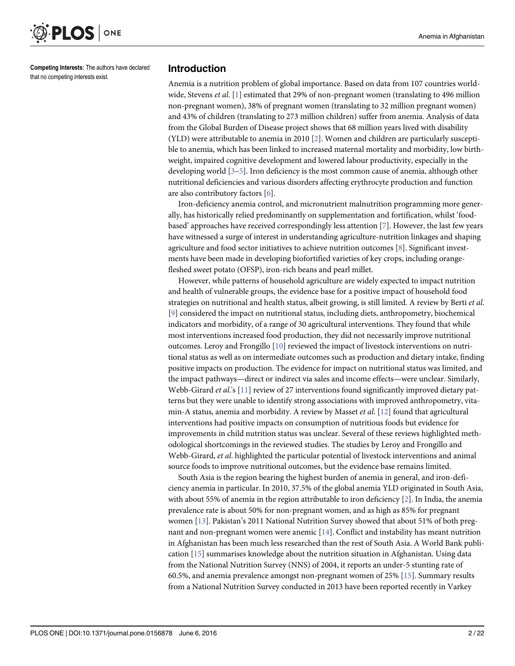<span id="page-1-0"></span>

Competing Interests: The authors have declared that no competing interests exist.

## Introduction

Anemia is a nutrition problem of global importance. Based on data from 107 countries worldwide, Stevens *et al.* [\[1](#page-19-0)] estimated that 29% of non-pregnant women (translating to 496 million non-pregnant women), 38% of pregnant women (translating to 32 million pregnant women) and 43% of children (translating to 273 million children) suffer from anemia. Analysis of data from the Global Burden of Disease project shows that 68 million years lived with disability (YLD) were attributable to anemia in 2010 [[2](#page-19-0)]. Women and children are particularly susceptible to anemia, which has been linked to increased maternal mortality and morbidity, low birthweight, impaired cognitive development and lowered labour productivity, especially in the developing world  $[3-5]$  $[3-5]$  $[3-5]$  $[3-5]$ . Iron deficiency is the most common cause of anemia, although other nutritional deficiencies and various disorders affecting erythrocyte production and function are also contributory factors [\[6\]](#page-19-0).

Iron-deficiency anemia control, and micronutrient malnutrition programming more generally, has historically relied predominantly on supplementation and fortification, whilst 'foodbased' approaches have received correspondingly less attention  $[7]$  $[7]$  $[7]$ . However, the last few years have witnessed a surge of interest in understanding agriculture-nutrition linkages and shaping agriculture and food sector initiatives to achieve nutrition outcomes [[8](#page-19-0)]. Significant investments have been made in developing biofortified varieties of key crops, including orangefleshed sweet potato (OFSP), iron-rich beans and pearl millet.

However, while patterns of household agriculture are widely expected to impact nutrition and health of vulnerable groups, the evidence base for a positive impact of household food strategies on nutritional and health status, albeit growing, is still limited. A review by Berti et al. [\[9](#page-19-0)] considered the impact on nutritional status, including diets, anthropometry, biochemical indicators and morbidity, of a range of 30 agricultural interventions. They found that while most interventions increased food production, they did not necessarily improve nutritional outcomes. Leroy and Frongillo [\[10\]](#page-19-0) reviewed the impact of livestock interventions on nutritional status as well as on intermediate outcomes such as production and dietary intake, finding positive impacts on production. The evidence for impact on nutritional status was limited, and the impact pathways—direct or indirect via sales and income effects—were unclear. Similarly, Webb-Girard *et al.*'s  $[11]$  $[11]$  $[11]$  review of 27 interventions found significantly improved dietary patterns but they were unable to identify strong associations with improved anthropometry, vitamin-A status, anemia and morbidity. A review by Masset *et al.* [\[12\]](#page-19-0) found that agricultural interventions had positive impacts on consumption of nutritious foods but evidence for improvements in child nutrition status was unclear. Several of these reviews highlighted methodological shortcomings in the reviewed studies. The studies by Leroy and Frongillo and Webb-Girard, et al. highlighted the particular potential of livestock interventions and animal source foods to improve nutritional outcomes, but the evidence base remains limited.

South Asia is the region bearing the highest burden of anemia in general, and iron-deficiency anemia in particular. In 2010, 37.5% of the global anemia YLD originated in South Asia, with about 55% of anemia in the region attributable to iron deficiency  $[2]$ . In India, the anemia prevalence rate is about 50% for non-pregnant women, and as high as 85% for pregnant women [\[13\]](#page-19-0). Pakistan's 2011 National Nutrition Survey showed that about 51% of both pregnant and non-pregnant women were anemic [\[14\]](#page-19-0). Conflict and instability has meant nutrition in Afghanistan has been much less researched than the rest of South Asia. A World Bank publication [\[15\]](#page-19-0) summarises knowledge about the nutrition situation in Afghanistan. Using data from the National Nutrition Survey (NNS) of 2004, it reports an under-5 stunting rate of 60.5%, and anemia prevalence amongst non-pregnant women of 25% [\[15\]](#page-19-0). Summary results from a National Nutrition Survey conducted in 2013 have been reported recently in Varkey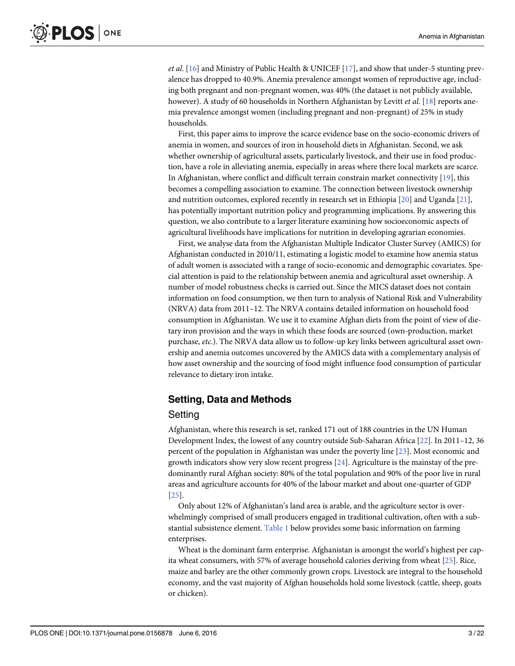<span id="page-2-0"></span>et al. [\[16\]](#page-19-0) and Ministry of Public Health & UNICEF [\[17\]](#page-19-0), and show that under-5 stunting prevalence has dropped to 40.9%. Anemia prevalence amongst women of reproductive age, including both pregnant and non-pregnant women, was 40% (the dataset is not publicly available, however). A study of 60 households in Northern Afghanistan by Levitt et al. [[18](#page-19-0)] reports anemia prevalence amongst women (including pregnant and non-pregnant) of 25% in study households.

First, this paper aims to improve the scarce evidence base on the socio-economic drivers of anemia in women, and sources of iron in household diets in Afghanistan. Second, we ask whether ownership of agricultural assets, particularly livestock, and their use in food production, have a role in alleviating anemia, especially in areas where there local markets are scarce. In Afghanistan, where conflict and difficult terrain constrain market connectivity [\[19\]](#page-19-0), this becomes a compelling association to examine. The connection between livestock ownership and nutrition outcomes, explored recently in research set in Ethiopia [\[20\]](#page-19-0) and Uganda [[21](#page-19-0)], has potentially important nutrition policy and programming implications. By answering this question, we also contribute to a larger literature examining how socioeconomic aspects of agricultural livelihoods have implications for nutrition in developing agrarian economies.

First, we analyse data from the Afghanistan Multiple Indicator Cluster Survey (AMICS) for Afghanistan conducted in 2010/11, estimating a logistic model to examine how anemia status of adult women is associated with a range of socio-economic and demographic covariates. Special attention is paid to the relationship between anemia and agricultural asset ownership. A number of model robustness checks is carried out. Since the MICS dataset does not contain information on food consumption, we then turn to analysis of National Risk and Vulnerability (NRVA) data from 2011–12. The NRVA contains detailed information on household food consumption in Afghanistan. We use it to examine Afghan diets from the point of view of dietary iron provision and the ways in which these foods are sourced (own-production, market purchase, etc.). The NRVA data allow us to follow-up key links between agricultural asset ownership and anemia outcomes uncovered by the AMICS data with a complementary analysis of how asset ownership and the sourcing of food might influence food consumption of particular relevance to dietary iron intake.

## Setting, Data and Methods

## Setting

Afghanistan, where this research is set, ranked 171 out of 188 countries in the UN Human Development Index, the lowest of any country outside Sub-Saharan Africa [\[22\]](#page-19-0). In 2011–12, 36 percent of the population in Afghanistan was under the poverty line [[23\]](#page-19-0). Most economic and growth indicators show very slow recent progress  $[24]$  $[24]$  $[24]$ . Agriculture is the mainstay of the predominantly rural Afghan society: 80% of the total population and 90% of the poor live in rural areas and agriculture accounts for 40% of the labour market and about one-quarter of GDP [\[25](#page-20-0)].

Only about 12% of Afghanistan's land area is arable, and the agriculture sector is overwhelmingly comprised of small producers engaged in traditional cultivation, often with a sub-stantial subsistence element. [Table 1](#page-3-0) below provides some basic information on farming enterprises.

Wheat is the dominant farm enterprise. Afghanistan is amongst the world's highest per capita wheat consumers, with 57% of average household calories deriving from wheat [\[25\]](#page-20-0). Rice, maize and barley are the other commonly grown crops. Livestock are integral to the household economy, and the vast majority of Afghan households hold some livestock (cattle, sheep, goats or chicken).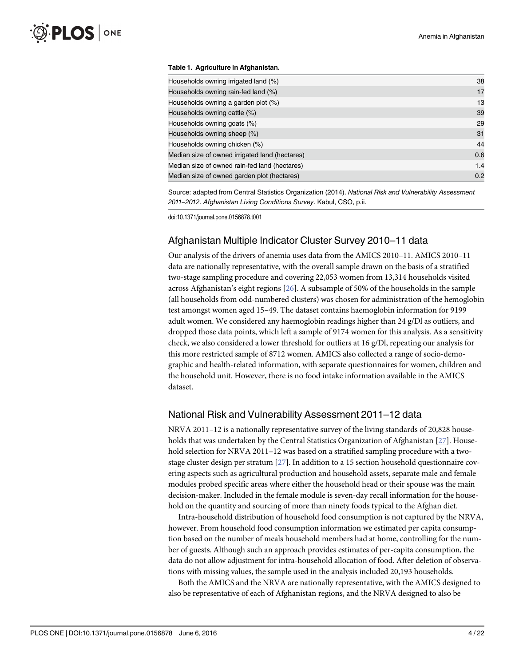#### <span id="page-3-0"></span>[Table 1.](#page-2-0) Agriculture in Afghanistan.

| Households owning irrigated land (%)           | 38  |
|------------------------------------------------|-----|
| Households owning rain-fed land (%)            | 17  |
| Households owning a garden plot (%)            | 13  |
| Households owning cattle (%)                   | 39  |
| Households owning goats (%)                    | 29  |
| Households owning sheep (%)                    | 31  |
| Households owning chicken (%)                  | 44  |
| Median size of owned irrigated land (hectares) | 0.6 |
| Median size of owned rain-fed land (hectares)  | 1.4 |
| Median size of owned garden plot (hectares)    | 0.2 |

Source: adapted from Central Statistics Organization (2014). National Risk and Vulnerability Assessment 2011–2012. Afghanistan Living Conditions Survey. Kabul, CSO, p.ii.

doi:10.1371/journal.pone.0156878.t001

## Afghanistan Multiple Indicator Cluster Survey 2010–11 data

Our analysis of the drivers of anemia uses data from the AMICS 2010–11. AMICS 2010–11 data are nationally representative, with the overall sample drawn on the basis of a stratified two-stage sampling procedure and covering 22,053 women from 13,314 households visited across Afghanistan's eight regions [[26\]](#page-20-0). A subsample of 50% of the households in the sample (all households from odd-numbered clusters) was chosen for administration of the hemoglobin test amongst women aged 15–49. The dataset contains haemoglobin information for 9199 adult women. We considered any haemoglobin readings higher than 24 g/Dl as outliers, and dropped those data points, which left a sample of 9174 women for this analysis. As a sensitivity check, we also considered a lower threshold for outliers at 16 g/Dl, repeating our analysis for this more restricted sample of 8712 women. AMICS also collected a range of socio-demographic and health-related information, with separate questionnaires for women, children and the household unit. However, there is no food intake information available in the AMICS dataset.

## National Risk and Vulnerability Assessment 2011–12 data

NRVA 2011–12 is a nationally representative survey of the living standards of 20,828 house-holds that was undertaken by the Central Statistics Organization of Afghanistan [\[27\]](#page-20-0). Household selection for NRVA 2011–12 was based on a stratified sampling procedure with a twostage cluster design per stratum  $[27]$ . In addition to a 15 section household questionnaire covering aspects such as agricultural production and household assets, separate male and female modules probed specific areas where either the household head or their spouse was the main decision-maker. Included in the female module is seven-day recall information for the household on the quantity and sourcing of more than ninety foods typical to the Afghan diet.

Intra-household distribution of household food consumption is not captured by the NRVA, however. From household food consumption information we estimated per capita consumption based on the number of meals household members had at home, controlling for the number of guests. Although such an approach provides estimates of per-capita consumption, the data do not allow adjustment for intra-household allocation of food. After deletion of observations with missing values, the sample used in the analysis included 20,193 households.

Both the AMICS and the NRVA are nationally representative, with the AMICS designed to also be representative of each of Afghanistan regions, and the NRVA designed to also be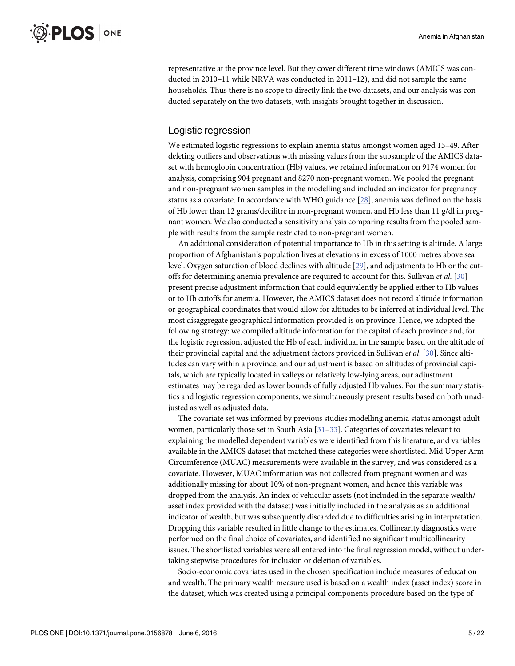<span id="page-4-0"></span>representative at the province level. But they cover different time windows (AMICS was conducted in 2010–11 while NRVA was conducted in 2011–12), and did not sample the same households. Thus there is no scope to directly link the two datasets, and our analysis was conducted separately on the two datasets, with insights brought together in discussion.

## Logistic regression

We estimated logistic regressions to explain anemia status amongst women aged 15–49. After deleting outliers and observations with missing values from the subsample of the AMICS dataset with hemoglobin concentration (Hb) values, we retained information on 9174 women for analysis, comprising 904 pregnant and 8270 non-pregnant women. We pooled the pregnant and non-pregnant women samples in the modelling and included an indicator for pregnancy status as a covariate. In accordance with WHO guidance [\[28](#page-20-0)], anemia was defined on the basis of Hb lower than 12 grams/decilitre in non-pregnant women, and Hb less than 11 g/dl in pregnant women. We also conducted a sensitivity analysis comparing results from the pooled sample with results from the sample restricted to non-pregnant women.

An additional consideration of potential importance to Hb in this setting is altitude. A large proportion of Afghanistan's population lives at elevations in excess of 1000 metres above sea level. Oxygen saturation of blood declines with altitude [[29](#page-20-0)], and adjustments to Hb or the cutoffs for determining anemia prevalence are required to account for this. Sullivan et al. [[30\]](#page-20-0) present precise adjustment information that could equivalently be applied either to Hb values or to Hb cutoffs for anemia. However, the AMICS dataset does not record altitude information or geographical coordinates that would allow for altitudes to be inferred at individual level. The most disaggregate geographical information provided is on province. Hence, we adopted the following strategy: we compiled altitude information for the capital of each province and, for the logistic regression, adjusted the Hb of each individual in the sample based on the altitude of their provincial capital and the adjustment factors provided in Sullivan et al. [\[30\]](#page-20-0). Since altitudes can vary within a province, and our adjustment is based on altitudes of provincial capitals, which are typically located in valleys or relatively low-lying areas, our adjustment estimates may be regarded as lower bounds of fully adjusted Hb values. For the summary statistics and logistic regression components, we simultaneously present results based on both unadjusted as well as adjusted data.

The covariate set was informed by previous studies modelling anemia status amongst adult women, particularly those set in South Asia [\[31](#page-20-0)–[33](#page-20-0)]. Categories of covariates relevant to explaining the modelled dependent variables were identified from this literature, and variables available in the AMICS dataset that matched these categories were shortlisted. Mid Upper Arm Circumference (MUAC) measurements were available in the survey, and was considered as a covariate. However, MUAC information was not collected from pregnant women and was additionally missing for about 10% of non-pregnant women, and hence this variable was dropped from the analysis. An index of vehicular assets (not included in the separate wealth/ asset index provided with the dataset) was initially included in the analysis as an additional indicator of wealth, but was subsequently discarded due to difficulties arising in interpretation. Dropping this variable resulted in little change to the estimates. Collinearity diagnostics were performed on the final choice of covariates, and identified no significant multicollinearity issues. The shortlisted variables were all entered into the final regression model, without undertaking stepwise procedures for inclusion or deletion of variables.

Socio-economic covariates used in the chosen specification include measures of education and wealth. The primary wealth measure used is based on a wealth index (asset index) score in the dataset, which was created using a principal components procedure based on the type of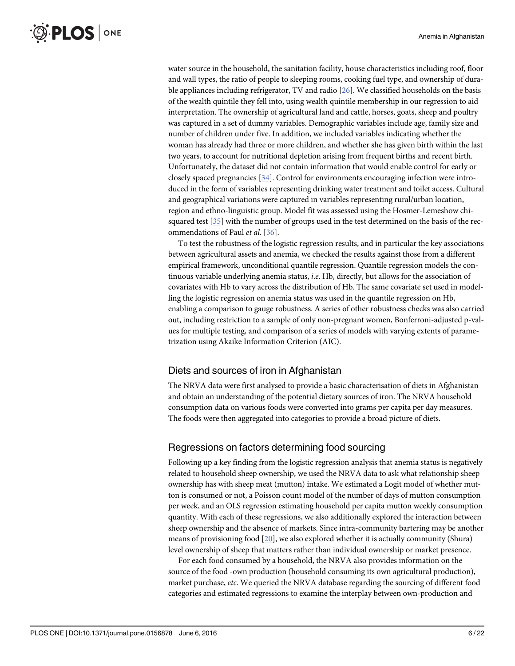<span id="page-5-0"></span>water source in the household, the sanitation facility, house characteristics including roof, floor and wall types, the ratio of people to sleeping rooms, cooking fuel type, and ownership of durable appliances including refrigerator, TV and radio  $[26]$  $[26]$  $[26]$ . We classified households on the basis of the wealth quintile they fell into, using wealth quintile membership in our regression to aid interpretation. The ownership of agricultural land and cattle, horses, goats, sheep and poultry was captured in a set of dummy variables. Demographic variables include age, family size and number of children under five. In addition, we included variables indicating whether the woman has already had three or more children, and whether she has given birth within the last two years, to account for nutritional depletion arising from frequent births and recent birth. Unfortunately, the dataset did not contain information that would enable control for early or closely spaced pregnancies [[34](#page-20-0)]. Control for environments encouraging infection were introduced in the form of variables representing drinking water treatment and toilet access. Cultural and geographical variations were captured in variables representing rural/urban location, region and ethno-linguistic group. Model fit was assessed using the Hosmer-Lemeshow chisquared test  $[35]$  with the number of groups used in the test determined on the basis of the recommendations of Paul et al. [[36](#page-20-0)].

To test the robustness of the logistic regression results, and in particular the key associations between agricultural assets and anemia, we checked the results against those from a different empirical framework, unconditional quantile regression. Quantile regression models the continuous variable underlying anemia status, i.e. Hb, directly, but allows for the association of covariates with Hb to vary across the distribution of Hb. The same covariate set used in modelling the logistic regression on anemia status was used in the quantile regression on Hb, enabling a comparison to gauge robustness. A series of other robustness checks was also carried out, including restriction to a sample of only non-pregnant women, Bonferroni-adjusted p-values for multiple testing, and comparison of a series of models with varying extents of parametrization using Akaike Information Criterion (AIC).

## Diets and sources of iron in Afghanistan

The NRVA data were first analysed to provide a basic characterisation of diets in Afghanistan and obtain an understanding of the potential dietary sources of iron. The NRVA household consumption data on various foods were converted into grams per capita per day measures. The foods were then aggregated into categories to provide a broad picture of diets.

## Regressions on factors determining food sourcing

Following up a key finding from the logistic regression analysis that anemia status is negatively related to household sheep ownership, we used the NRVA data to ask what relationship sheep ownership has with sheep meat (mutton) intake. We estimated a Logit model of whether mutton is consumed or not, a Poisson count model of the number of days of mutton consumption per week, and an OLS regression estimating household per capita mutton weekly consumption quantity. With each of these regressions, we also additionally explored the interaction between sheep ownership and the absence of markets. Since intra-community bartering may be another means of provisioning food [\[20](#page-19-0)], we also explored whether it is actually community (Shura) level ownership of sheep that matters rather than individual ownership or market presence.

For each food consumed by a household, the NRVA also provides information on the source of the food -own production (household consuming its own agricultural production), market purchase, etc. We queried the NRVA database regarding the sourcing of different food categories and estimated regressions to examine the interplay between own-production and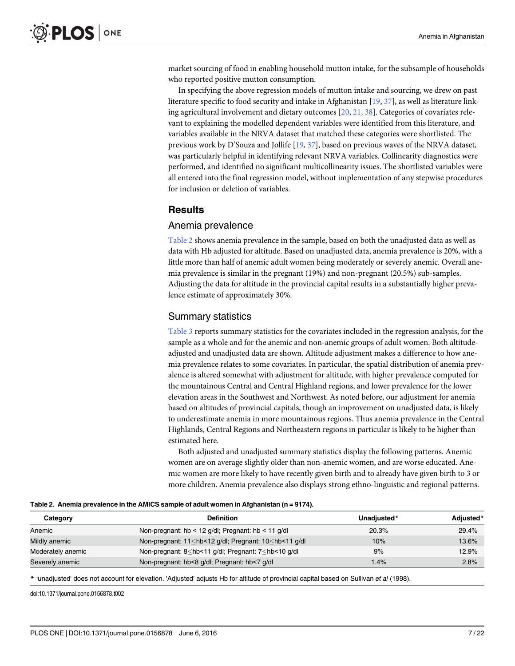<span id="page-6-0"></span>market sourcing of food in enabling household mutton intake, for the subsample of households who reported positive mutton consumption.

In specifying the above regression models of mutton intake and sourcing, we drew on past literature specific to food security and intake in Afghanistan [\[19](#page-19-0), [37](#page-20-0)], as well as literature linking agricultural involvement and dietary outcomes [[20](#page-19-0), [21](#page-19-0), [38](#page-20-0)]. Categories of covariates relevant to explaining the modelled dependent variables were identified from this literature, and variables available in the NRVA dataset that matched these categories were shortlisted. The previous work by D'Souza and Jollife [[19](#page-19-0), [37](#page-20-0)], based on previous waves of the NRVA dataset, was particularly helpful in identifying relevant NRVA variables. Collinearity diagnostics were performed, and identified no significant multicollinearity issues. The shortlisted variables were all entered into the final regression model, without implementation of any stepwise procedures for inclusion or deletion of variables.

## **Results**

## Anemia prevalence

Table 2 shows anemia prevalence in the sample, based on both the unadjusted data as well as data with Hb adjusted for altitude. Based on unadjusted data, anemia prevalence is 20%, with a little more than half of anemic adult women being moderately or severely anemic. Overall anemia prevalence is similar in the pregnant (19%) and non-pregnant (20.5%) sub-samples. Adjusting the data for altitude in the provincial capital results in a substantially higher prevalence estimate of approximately 30%.

## Summary statistics

[Table 3](#page-7-0) reports summary statistics for the covariates included in the regression analysis, for the sample as a whole and for the anemic and non-anemic groups of adult women. Both altitudeadjusted and unadjusted data are shown. Altitude adjustment makes a difference to how anemia prevalence relates to some covariates. In particular, the spatial distribution of anemia prevalence is altered somewhat with adjustment for altitude, with higher prevalence computed for the mountainous Central and Central Highland regions, and lower prevalence for the lower elevation areas in the Southwest and Northwest. As noted before, our adjustment for anemia based on altitudes of provincial capitals, though an improvement on unadjusted data, is likely to underestimate anemia in more mountainous regions. Thus anemia prevalence in the Central Highlands, Central Regions and Northeastern regions in particular is likely to be higher than estimated here.

Both adjusted and unadjusted summary statistics display the following patterns. Anemic women are on average slightly older than non-anemic women, and are worse educated. Anemic women are more likely to have recently given birth and to already have given birth to 3 or more children. Anemia prevalence also displays strong ethno-linguistic and regional patterns.

#### Table 2. Anemia prevalence in the AMICS sample of adult women in Afghanistan (n = 9174).

| Category          | <b>Definition</b>                                                                                            | Unadiusted* | Adjusted* |
|-------------------|--------------------------------------------------------------------------------------------------------------|-------------|-----------|
| Anemic            | Non-pregnant: $hb < 12$ g/dl; Pregnant: $hb < 11$ g/dl                                                       | 20.3%       | 29.4%     |
| Mildly anemic     | Non-pregnant: 11 <hb<12 10<hb<11="" dl;="" dl<="" g="" pregnant:="" td=""><td>10%</td><td>13.6%</td></hb<12> | 10%         | 13.6%     |
| Moderately anemic | Non-pregnant: 8 <hb<11 7<hb<10="" dl;="" dl<="" g="" pregnant:="" td=""><td>9%</td><td>12.9%</td></hb<11>    | 9%          | 12.9%     |
| Severely anemic   | Non-pregnant: hb<8 g/dl; Pregnant: hb<7 g/dl                                                                 | $1.4\%$     | 2.8%      |

\* 'unadjusted' does not account for elevation. 'Adjusted' adjusts Hb for altitude of provincial capital based on Sullivan et al (1998).

doi:10.1371/journal.pone.0156878.t002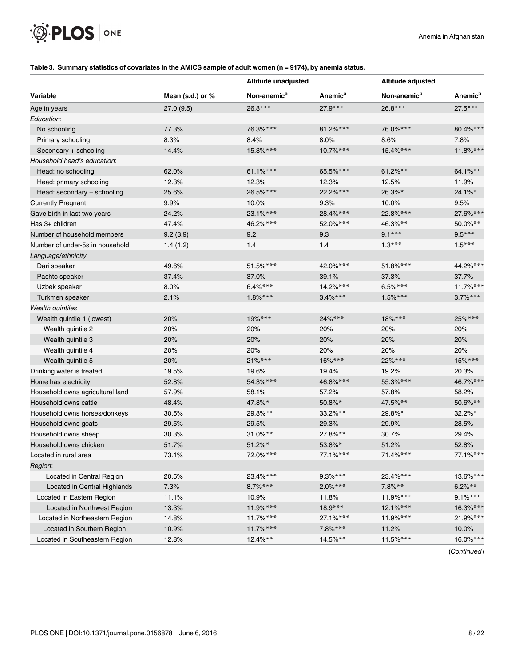### <span id="page-7-0"></span>[Table 3.](#page-6-0) Summary statistics of covariates in the AMICS sample of adult women (n = 9174), by anemia status.

|                                  |                  | Altitude unadjusted     |                     | Altitude adjusted       |                            |
|----------------------------------|------------------|-------------------------|---------------------|-------------------------|----------------------------|
| <b>Variable</b>                  | Mean (s.d.) or % | Non-anemic <sup>a</sup> | Anemic <sup>a</sup> | Non-anemic <sup>b</sup> | <b>Anemic</b> <sup>b</sup> |
| Age in years                     | 27.0(9.5)        | $26.8***$               | 27.9 ***            | 26.8***                 | $27.5***$                  |
| Education:                       |                  |                         |                     |                         |                            |
| No schooling                     | 77.3%            | 76.3%***                | 81.2%***            | 76.0%***                | 80.4%***                   |
| Primary schooling                | 8.3%             | 8.4%                    | 8.0%                | 8.6%                    | 7.8%                       |
| Secondary + schooling            | 14.4%            | 15.3%***                | $10.7\%***$         | $15.4\%$ ***            | $11.8\%$ ***               |
| Household head's education:      |                  |                         |                     |                         |                            |
| Head: no schooling               | 62.0%            | 61.1%***                | 65.5%***            | $61.2\%$ **             | 64.1%**                    |
| Head: primary schooling          | 12.3%            | 12.3%                   | 12.3%               | 12.5%                   | 11.9%                      |
| Head: secondary + schooling      | 25.6%            | 26.5%***                | 22.2%***            | 26.3%*                  | 24.1%*                     |
| <b>Currently Pregnant</b>        | 9.9%             | 10.0%                   | 9.3%                | 10.0%                   | 9.5%                       |
| Gave birth in last two years     | 24.2%            | 23.1%***                | 28.4%***            | 22.8%***                | 27.6%***                   |
| Has 3+ children                  | 47.4%            | 46.2%***                | 52.0%***            | 46.3%**                 | 50.0%**                    |
| Number of household members      | 9.2(3.9)         | 9.2                     | 9.3                 | $9.1***$                | $9.5***$                   |
| Number of under-5s in household  | 1.4(1.2)         | 1.4                     | 1.4                 | $1.3***$                | $1.5***$                   |
| Language/ethnicity               |                  |                         |                     |                         |                            |
| Dari speaker                     | 49.6%            | 51.5%***                | 42.0%***            | 51.8%***                | 44.2%***                   |
| Pashto speaker                   | 37.4%            | 37.0%                   | 39.1%               | 37.3%                   | 37.7%                      |
| Uzbek speaker                    | 8.0%             | $6.4%***$               | 14.2%***            | $6.5\%***$              | $11.7\%***$                |
| Turkmen speaker                  | 2.1%             | $1.8\%$ ***             | $3.4\%$ ***         | $1.5\%$ ***             | $3.7\%$ ***                |
| Wealth quintiles                 |                  |                         |                     |                         |                            |
| Wealth quintile 1 (lowest)       | 20%              | 19%***                  | 24%***              | 18%***                  | 25%***                     |
| Wealth quintile 2                | 20%              | 20%                     | 20%                 | 20%                     | 20%                        |
| Wealth quintile 3                | 20%              | 20%                     | 20%                 | 20%                     | 20%                        |
| Wealth quintile 4                | 20%              | 20%                     | 20%                 | 20%                     | 20%                        |
| Wealth quintile 5                | 20%              | 21%***                  | $16\%***$           | 22%***                  | $15\%$ ***                 |
| Drinking water is treated        | 19.5%            | 19.6%                   | 19.4%               | 19.2%                   | 20.3%                      |
| Home has electricity             | 52.8%            | 54.3%***                | 46.8%***            | 55.3%***                | 46.7%***                   |
| Household owns agricultural land | 57.9%            | 58.1%                   | 57.2%               | 57.8%                   | 58.2%                      |
| Household owns cattle            | 48.4%            | 47.8%*                  | 50.8%*              | 47.5%**                 | 50.6%**                    |
| Household owns horses/donkeys    | 30.5%            | 29.8%**                 | 33.2%**             | 29.8%*                  | 32.2%*                     |
| Household owns goats             | 29.5%            | 29.5%                   | 29.3%               | 29.9%                   | 28.5%                      |
| Household owns sheep             | 30.3%            | $31.0\%$ **             | 27.8%**             | 30.7%                   | 29.4%                      |
| Household owns chicken           | 51.7%            | 51.2%*                  | 53.8%*              | 51.2%                   | 52.8%                      |
| Located in rural area            | 73.1%            | 72.0%***                | 77.1%***            | 71.4%***                | $77.1\%$ ***               |
| Region:                          |                  |                         |                     |                         |                            |
| Located in Central Region        | 20.5%            | 23.4%***                | $9.3\%$ ***         | 23.4%***                | 13.6%***                   |
| Located in Central Highlands     | 7.3%             | $8.7\%$ ***             | $2.0\%$ ***         | $7.8\%**$               | $6.2\%$ **                 |
| Located in Eastern Region        | 11.1%            | 10.9%                   | 11.8%               | 11.9%***                | $9.1\%***$                 |
| Located in Northwest Region      | 13.3%            | 11.9%***                | $18.9***$           | $12.1\%***$             | 16.3%***                   |
| Located in Northeastern Region   | 14.8%            | $11.7\%***$             | 27.1%***            | 11.9%***                | 21.9%***                   |
| Located in Southern Region       | 10.9%            | $11.7\%$ ***            | $7.8\%$ ***         | 11.2%                   | 10.0%                      |
| Located in Southeastern Region   | 12.8%            | $12.4\%**$              | $14.5\%**$          | $11.5\%***$             | 16.0%***                   |

(Continued)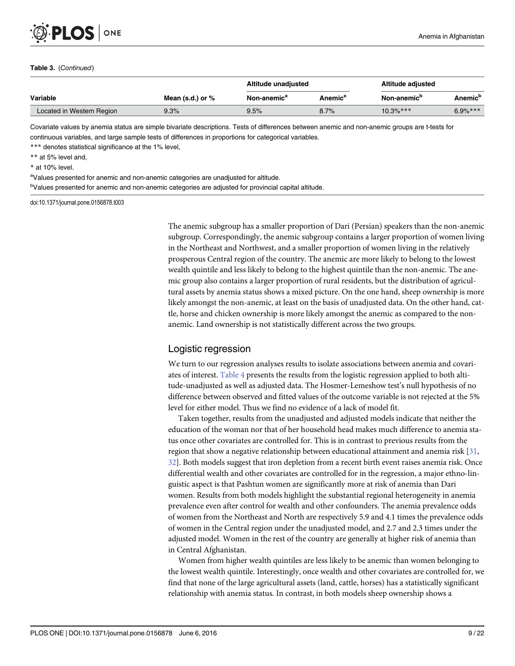<span id="page-8-0"></span>

#### Table 3. (Continued)

|                           |                     | Altitude unadjusted     |                     | Altitude adiusted       |                     |
|---------------------------|---------------------|-------------------------|---------------------|-------------------------|---------------------|
| Variable                  | Mean (s.d.) or $\%$ | Non-anemic <sup>a</sup> | Anemic <sup>a</sup> | Non-anemic <sup>b</sup> | Anemic <sup>b</sup> |
| Located in Western Region | 9.3%                | 9.5%                    | 8.7%                | $10.3\%$ ***            | $6.9\%***$          |

Covariate values by anemia status are simple bivariate descriptions. Tests of differences between anemic and non-anemic groups are t-tests for continuous variables, and large sample tests of differences in proportions for categorical variables.

\*\*\* denotes statistical significance at the 1% level,

\*\* at 5% level and,

\* at 10% level.

<sup>a</sup>Values presented for anemic and non-anemic categories are unadjusted for altitude.

<sup>b</sup>Values presented for anemic and non-anemic categories are adjusted for provincial capital altitude.

doi:10.1371/journal.pone.0156878.t003

The anemic subgroup has a smaller proportion of Dari (Persian) speakers than the non-anemic subgroup. Correspondingly, the anemic subgroup contains a larger proportion of women living in the Northeast and Northwest, and a smaller proportion of women living in the relatively prosperous Central region of the country. The anemic are more likely to belong to the lowest wealth quintile and less likely to belong to the highest quintile than the non-anemic. The anemic group also contains a larger proportion of rural residents, but the distribution of agricultural assets by anemia status shows a mixed picture. On the one hand, sheep ownership is more likely amongst the non-anemic, at least on the basis of unadjusted data. On the other hand, cattle, horse and chicken ownership is more likely amongst the anemic as compared to the nonanemic. Land ownership is not statistically different across the two groups.

## Logistic regression

We turn to our regression analyses results to isolate associations between anemia and covariates of interest. [Table 4](#page-9-0) presents the results from the logistic regression applied to both altitude-unadjusted as well as adjusted data. The Hosmer-Lemeshow test's null hypothesis of no difference between observed and fitted values of the outcome variable is not rejected at the 5% level for either model. Thus we find no evidence of a lack of model fit.

Taken together, results from the unadjusted and adjusted models indicate that neither the education of the woman nor that of her household head makes much difference to anemia status once other covariates are controlled for. This is in contrast to previous results from the region that show a negative relationship between educational attainment and anemia risk [[31,](#page-20-0) [32\]](#page-20-0). Both models suggest that iron depletion from a recent birth event raises anemia risk. Once differential wealth and other covariates are controlled for in the regression, a major ethno-linguistic aspect is that Pashtun women are significantly more at risk of anemia than Dari women. Results from both models highlight the substantial regional heterogeneity in anemia prevalence even after control for wealth and other confounders. The anemia prevalence odds of women from the Northeast and North are respectively 5.9 and 4.1 times the prevalence odds of women in the Central region under the unadjusted model, and 2.7 and 2.3 times under the adjusted model. Women in the rest of the country are generally at higher risk of anemia than in Central Afghanistan.

Women from higher wealth quintiles are less likely to be anemic than women belonging to the lowest wealth quintile. Interestingly, once wealth and other covariates are controlled for, we find that none of the large agricultural assets (land, cattle, horses) has a statistically significant relationship with anemia status. In contrast, in both models sheep ownership shows a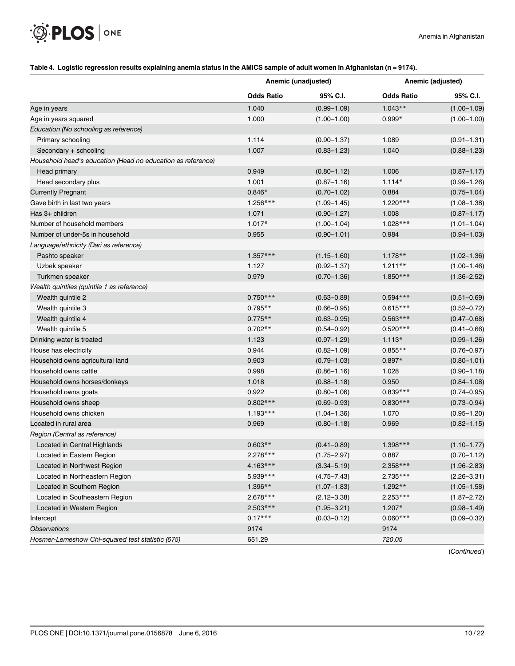## <span id="page-9-0"></span>[Table 4.](#page-8-0) Logistic regression results explaining anemia status in the AMICS sample of adult women in Afghanistan (n = 9174).

|                                                             | Anemic (unadjusted) |                 | Anemic (adjusted) |                 |
|-------------------------------------------------------------|---------------------|-----------------|-------------------|-----------------|
|                                                             | <b>Odds Ratio</b>   | 95% C.I.        | <b>Odds Ratio</b> | 95% C.I.        |
| Age in years                                                | 1.040               | $(0.99 - 1.09)$ | $1.043**$         | $(1.00 - 1.09)$ |
| Age in years squared                                        | 1.000               | $(1.00 - 1.00)$ | $0.999*$          | $(1.00 - 1.00)$ |
| Education (No schooling as reference)                       |                     |                 |                   |                 |
| Primary schooling                                           | 1.114               | $(0.90 - 1.37)$ | 1.089             | $(0.91 - 1.31)$ |
| Secondary + schooling                                       | 1.007               | $(0.83 - 1.23)$ | 1.040             | $(0.88 - 1.23)$ |
| Household head's education (Head no education as reference) |                     |                 |                   |                 |
| Head primary                                                | 0.949               | $(0.80 - 1.12)$ | 1.006             | $(0.87 - 1.17)$ |
| Head secondary plus                                         | 1.001               | $(0.87 - 1.16)$ | $1.114*$          | $(0.99 - 1.26)$ |
| <b>Currently Pregnant</b>                                   | $0.846*$            | $(0.70 - 1.02)$ | 0.884             | $(0.75 - 1.04)$ |
| Gave birth in last two years                                | $1.256***$          | $(1.09 - 1.45)$ | $1.220***$        | $(1.08 - 1.38)$ |
| Has 3+ children                                             | 1.071               | $(0.90 - 1.27)$ | 1.008             | $(0.87 - 1.17)$ |
| Number of household members                                 | $1.017*$            | $(1.00 - 1.04)$ | $1.028***$        | $(1.01 - 1.04)$ |
| Number of under-5s in household                             | 0.955               | $(0.90 - 1.01)$ | 0.984             | $(0.94 - 1.03)$ |
| Language/ethnicity (Dari as reference)                      |                     |                 |                   |                 |
| Pashto speaker                                              | $1.357***$          | $(1.15 - 1.60)$ | $1.178**$         | $(1.02 - 1.36)$ |
| Uzbek speaker                                               | 1.127               | $(0.92 - 1.37)$ | $1.211**$         | $(1.00 - 1.46)$ |
| Turkmen speaker                                             | 0.979               | $(0.70 - 1.36)$ | $1.850***$        | $(1.36 - 2.52)$ |
| Wealth quintiles (quintile 1 as reference)                  |                     |                 |                   |                 |
| Wealth quintile 2                                           | $0.750***$          | $(0.63 - 0.89)$ | $0.594***$        | $(0.51 - 0.69)$ |
| Wealth quintile 3                                           | $0.795**$           | $(0.66 - 0.95)$ | $0.615***$        | $(0.52 - 0.72)$ |
| Wealth quintile 4                                           | $0.775**$           | $(0.63 - 0.95)$ | $0.563***$        | $(0.47 - 0.68)$ |
| Wealth quintile 5                                           | $0.702**$           | $(0.54 - 0.92)$ | $0.520***$        | $(0.41 - 0.66)$ |
| Drinking water is treated                                   | 1.123               | $(0.97 - 1.29)$ | $1.113*$          | $(0.99 - 1.26)$ |
| House has electricity                                       | 0.944               | $(0.82 - 1.09)$ | $0.855**$         | $(0.76 - 0.97)$ |
| Household owns agricultural land                            | 0.903               | $(0.79 - 1.03)$ | $0.897*$          | $(0.80 - 1.01)$ |
| Household owns cattle                                       | 0.998               | $(0.86 - 1.16)$ | 1.028             | $(0.90 - 1.18)$ |
| Household owns horses/donkeys                               | 1.018               | $(0.88 - 1.18)$ | 0.950             | $(0.84 - 1.08)$ |
| Household owns goats                                        | 0.922               | $(0.80 - 1.06)$ | $0.839***$        | $(0.74 - 0.95)$ |
| Household owns sheep                                        | $0.802***$          | $(0.69 - 0.93)$ | $0.830***$        | $(0.73 - 0.94)$ |
| Household owns chicken                                      | $1.193***$          | $(1.04 - 1.36)$ | 1.070             | $(0.95 - 1.20)$ |
| Located in rural area                                       | 0.969               | $(0.80 - 1.18)$ | 0.969             | $(0.82 - 1.15)$ |
| Region (Central as reference)                               |                     |                 |                   |                 |
| Located in Central Highlands                                | $0.603**$           | $(0.41 - 0.89)$ | $1.398***$        | $(1.10 - 1.77)$ |
| Located in Eastern Region                                   | $2.278***$          | $(1.75 - 2.97)$ | 0.887             | $(0.70 - 1.12)$ |
| Located in Northwest Region                                 | 4.163***            | $(3.34 - 5.19)$ | 2.358***          | $(1.96 - 2.83)$ |
| Located in Northeastern Region                              | 5.939 ***           | $(4.75 - 7.43)$ | $2.735***$        | $(2.26 - 3.31)$ |
| Located in Southern Region                                  | $1.396**$           | $(1.07 - 1.83)$ | $1.292**$         | $(1.05 - 1.58)$ |
| Located in Southeastern Region                              | $2.678***$          | $(2.12 - 3.38)$ | $2.253***$        | $(1.87 - 2.72)$ |
| Located in Western Region                                   | $2.503***$          | $(1.95 - 3.21)$ | 1.207*            | $(0.98 - 1.49)$ |
| Intercept                                                   | $0.17***$           | $(0.03 - 0.12)$ | $0.060***$        | $(0.09 - 0.32)$ |
| <b>Observations</b>                                         | 9174                |                 | 9174              |                 |
| Hosmer-Lemeshow Chi-squared test statistic (675)            | 651.29              |                 | 720.05            |                 |

(Continued)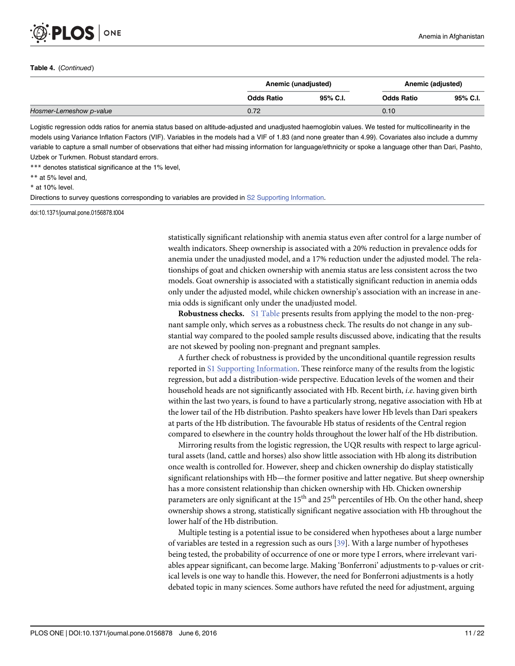<span id="page-10-0"></span>

#### Table 4. (Continued)

|                         | Anemic (unadjusted) |          | Anemic (adjusted) |          |
|-------------------------|---------------------|----------|-------------------|----------|
|                         | <b>Odds Ratio</b>   | 95% C.I. | <b>Odds Ratio</b> | 95% C.I. |
| Hosmer-Lemeshow p-value | 0.72                |          | 0.10              |          |

Logistic regression odds ratios for anemia status based on altitude-adjusted and unadjusted haemoglobin values. We tested for multicollinearity in the models using Variance Inflation Factors (VIF). Variables in the models had a VIF of 1.83 (and none greater than 4.99). Covariates also include a dummy variable to capture a small number of observations that either had missing information for language/ethnicity or spoke a language other than Dari, Pashto, Uzbek or Turkmen. Robust standard errors.

\*\*\* denotes statistical significance at the 1% level,

\*\* at 5% level and,

\* at 10% level.

Directions to survey questions corresponding to variables are provided in [S2 Supporting Information](#page-18-0).

doi:10.1371/journal.pone.0156878.t004

statistically significant relationship with anemia status even after control for a large number of wealth indicators. Sheep ownership is associated with a 20% reduction in prevalence odds for anemia under the unadjusted model, and a 17% reduction under the adjusted model. The relationships of goat and chicken ownership with anemia status are less consistent across the two models. Goat ownership is associated with a statistically significant reduction in anemia odds only under the adjusted model, while chicken ownership's association with an increase in anemia odds is significant only under the unadjusted model.

Robustness checks. [S1 Table](#page-18-0) presents results from applying the model to the non-pregnant sample only, which serves as a robustness check. The results do not change in any substantial way compared to the pooled sample results discussed above, indicating that the results are not skewed by pooling non-pregnant and pregnant samples.

A further check of robustness is provided by the unconditional quantile regression results reported in [S1 Supporting Information.](#page-18-0) These reinforce many of the results from the logistic regression, but add a distribution-wide perspective. Education levels of the women and their household heads are not significantly associated with Hb. Recent birth, i.e. having given birth within the last two years, is found to have a particularly strong, negative association with Hb at the lower tail of the Hb distribution. Pashto speakers have lower Hb levels than Dari speakers at parts of the Hb distribution. The favourable Hb status of residents of the Central region compared to elsewhere in the country holds throughout the lower half of the Hb distribution.

Mirroring results from the logistic regression, the UQR results with respect to large agricultural assets (land, cattle and horses) also show little association with Hb along its distribution once wealth is controlled for. However, sheep and chicken ownership do display statistically significant relationships with Hb—the former positive and latter negative. But sheep ownership has a more consistent relationship than chicken ownership with Hb. Chicken ownership parameters are only significant at the  $15<sup>th</sup>$  and  $25<sup>th</sup>$  percentiles of Hb. On the other hand, sheep ownership shows a strong, statistically significant negative association with Hb throughout the lower half of the Hb distribution.

Multiple testing is a potential issue to be considered when hypotheses about a large number of variables are tested in a regression such as ours [[39](#page-20-0)]. With a large number of hypotheses being tested, the probability of occurrence of one or more type I errors, where irrelevant variables appear significant, can become large. Making 'Bonferroni' adjustments to p-values or critical levels is one way to handle this. However, the need for Bonferroni adjustments is a hotly debated topic in many sciences. Some authors have refuted the need for adjustment, arguing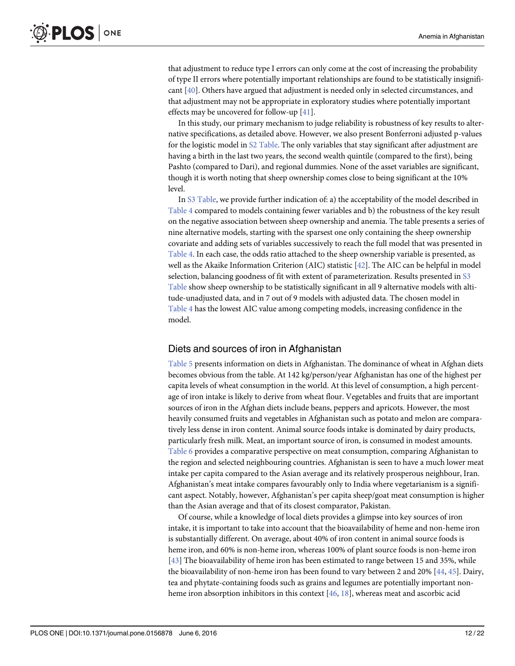<span id="page-11-0"></span>that adjustment to reduce type I errors can only come at the cost of increasing the probability of type II errors where potentially important relationships are found to be statistically insignificant [[40](#page-20-0)]. Others have argued that adjustment is needed only in selected circumstances, and that adjustment may not be appropriate in exploratory studies where potentially important effects may be uncovered for follow-up [[41](#page-20-0)].

In this study, our primary mechanism to judge reliability is robustness of key results to alternative specifications, as detailed above. However, we also present Bonferroni adjusted p-values for the logistic model in [S2 Table](#page-18-0). The only variables that stay significant after adjustment are having a birth in the last two years, the second wealth quintile (compared to the first), being Pashto (compared to Dari), and regional dummies. None of the asset variables are significant, though it is worth noting that sheep ownership comes close to being significant at the 10% level.

In [S3 Table,](#page-18-0) we provide further indication of: a) the acceptability of the model described in [Table 4](#page-9-0) compared to models containing fewer variables and b) the robustness of the key result on the negative association between sheep ownership and anemia. The table presents a series of nine alternative models, starting with the sparsest one only containing the sheep ownership covariate and adding sets of variables successively to reach the full model that was presented in [Table 4](#page-9-0). In each case, the odds ratio attached to the sheep ownership variable is presented, as well as the Akaike Information Criterion (AIC) statistic [[42](#page-20-0)]. The AIC can be helpful in model selection, balancing goodness of fit with extent of parameterization. Results presented in [S3](#page-18-0) [Table](#page-18-0) show sheep ownership to be statistically significant in all 9 alternative models with altitude-unadjusted data, and in 7 out of 9 models with adjusted data. The chosen model in [Table 4](#page-9-0) has the lowest AIC value among competing models, increasing confidence in the model.

## Diets and sources of iron in Afghanistan

[Table 5](#page-12-0) presents information on diets in Afghanistan. The dominance of wheat in Afghan diets becomes obvious from the table. At 142 kg/person/year Afghanistan has one of the highest per capita levels of wheat consumption in the world. At this level of consumption, a high percentage of iron intake is likely to derive from wheat flour. Vegetables and fruits that are important sources of iron in the Afghan diets include beans, peppers and apricots. However, the most heavily consumed fruits and vegetables in Afghanistan such as potato and melon are comparatively less dense in iron content. Animal source foods intake is dominated by dairy products, particularly fresh milk. Meat, an important source of iron, is consumed in modest amounts. [Table 6](#page-12-0) provides a comparative perspective on meat consumption, comparing Afghanistan to the region and selected neighbouring countries. Afghanistan is seen to have a much lower meat intake per capita compared to the Asian average and its relatively prosperous neighbour, Iran. Afghanistan's meat intake compares favourably only to India where vegetarianism is a significant aspect. Notably, however, Afghanistan's per capita sheep/goat meat consumption is higher than the Asian average and that of its closest comparator, Pakistan.

Of course, while a knowledge of local diets provides a glimpse into key sources of iron intake, it is important to take into account that the bioavailability of heme and non-heme iron is substantially different. On average, about 40% of iron content in animal source foods is heme iron, and 60% is non-heme iron, whereas 100% of plant source foods is non-heme iron [\[43](#page-20-0)] The bioavailability of heme iron has been estimated to range between 15 and 35%, while the bioavailability of non-heme iron has been found to vary between 2 and 20% [\[44,](#page-20-0) [45\]](#page-20-0). Dairy, tea and phytate-containing foods such as grains and legumes are potentially important non-heme iron absorption inhibitors in this context [\[46,](#page-20-0) [18\]](#page-19-0), whereas meat and ascorbic acid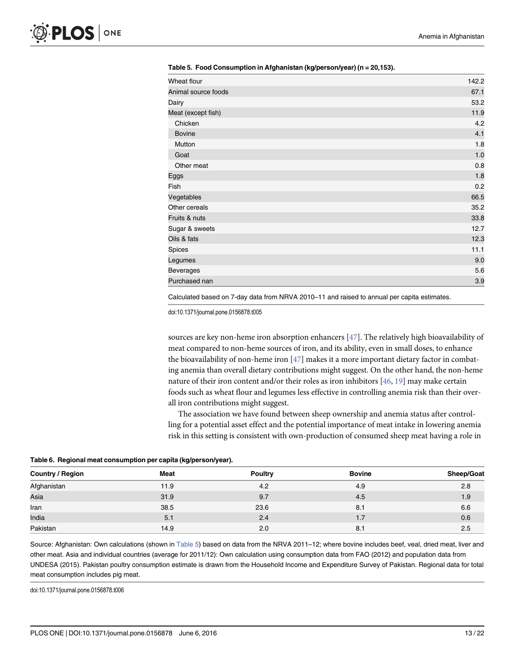| Wheat flour         | 142.2 |
|---------------------|-------|
| Animal source foods | 67.1  |
| Dairy               | 53.2  |
| Meat (except fish)  | 11.9  |
| Chicken             | 4.2   |
| <b>Bovine</b>       | 4.1   |
| Mutton              | 1.8   |
| Goat                | 1.0   |
| Other meat          | 0.8   |
| Eggs                | 1.8   |
| Fish                | 0.2   |
| Vegetables          | 66.5  |
| Other cereals       | 35.2  |
| Fruits & nuts       | 33.8  |
| Sugar & sweets      | 12.7  |
| Oils & fats         | 12.3  |
| Spices              | 11.1  |
| Legumes             | 9.0   |
| Beverages           | 5.6   |
| Purchased nan       | 3.9   |

<span id="page-12-0"></span>[Table 5.](#page-11-0) Food Consumption in Afghanistan (kg/person/year) (n = 20,153).

Calculated based on 7-day data from NRVA 2010–11 and raised to annual per capita estimates.

doi:10.1371/journal.pone.0156878.t005

sources are key non-heme iron absorption enhancers [\[47\]](#page-20-0). The relatively high bioavailability of meat compared to non-heme sources of iron, and its ability, even in small doses, to enhance the bioavailability of non-heme iron  $[47]$  $[47]$  $[47]$  makes it a more important dietary factor in combating anemia than overall dietary contributions might suggest. On the other hand, the non-heme nature of their iron content and/or their roles as iron inhibitors [\[46,](#page-20-0) [19\]](#page-19-0) may make certain foods such as wheat flour and legumes less effective in controlling anemia risk than their overall iron contributions might suggest.

The association we have found between sheep ownership and anemia status after controlling for a potential asset effect and the potential importance of meat intake in lowering anemia risk in this setting is consistent with own-production of consumed sheep meat having a role in

|  | Table 6.  Regional meat consumption per capita (kg/person/year). |  |  |  |
|--|------------------------------------------------------------------|--|--|--|
|--|------------------------------------------------------------------|--|--|--|

| <b>Country / Region</b> | Meat | <b>Poultry</b> | <b>Bovine</b> | Sheep/Goat |
|-------------------------|------|----------------|---------------|------------|
| Afghanistan             | 11.9 | 4.2            | 4.9           | 2.8        |
| Asia                    | 31.9 | 9.7            | 4.5           | 1.9        |
| Iran                    | 38.5 | 23.6           | 8.1           | 6.6        |
| India                   | 5.1  | 2.4            | 1.7           | 0.6        |
| Pakistan                | 14.9 | 2.0            | 8.1           | 2.5        |

Source: Afghanistan: Own calculations (shown in Table 5) based on data from the NRVA 2011–12; where bovine includes beef, veal, dried meat, liver and other meat. Asia and individual countries (average for 2011/12): Own calculation using consumption data from FAO (2012) and population data from UNDESA (2015). Pakistan poultry consumption estimate is drawn from the Household Income and Expenditure Survey of Pakistan. Regional data for total meat consumption includes pig meat.

doi:10.1371/journal.pone.0156878.t006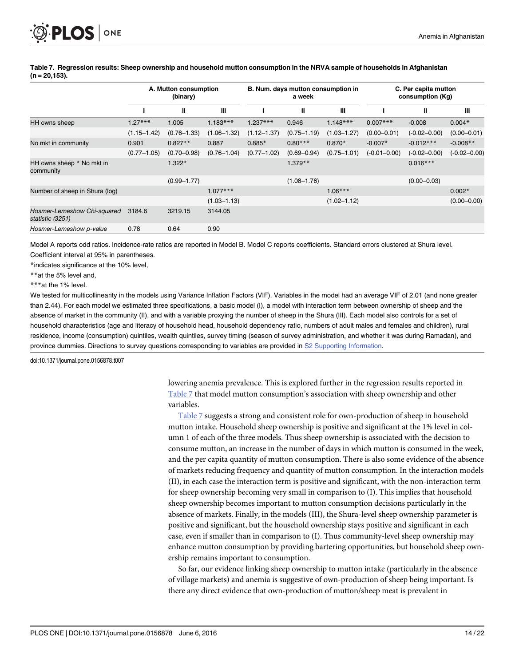|                                                 | A. Mutton consumption<br>(binary) |                 | B. Num. days mutton consumption in<br>a week |                 |                 | C. Per capita mutton<br>consumption (Kg) |                  |                  |                  |
|-------------------------------------------------|-----------------------------------|-----------------|----------------------------------------------|-----------------|-----------------|------------------------------------------|------------------|------------------|------------------|
|                                                 |                                   | ш               | Ш                                            |                 | $\mathbf{u}$    | Ш                                        |                  | Ш                | Ш                |
| HH owns sheep                                   | $1.27***$                         | 1.005           | $1.183***$                                   | $1.237***$      | 0.946           | $1.148***$                               | $0.007***$       | $-0.008$         | $0.004*$         |
|                                                 | $(1.15 - 1.42)$                   | $(0.76 - 1.33)$ | $(1.06 - 1.32)$                              | $(1.12 - 1.37)$ | $(0.75 - 1.19)$ | $(1.03 - 1.27)$                          | $(0.00 - 0.01)$  | $(-0.02 - 0.00)$ | $(0.00 - 0.01)$  |
| No mkt in community                             | 0.901                             | $0.827**$       | 0.887                                        | $0.885*$        | $0.80***$       | $0.870*$                                 | $-0.007*$        | $-0.012***$      | $-0.008**$       |
|                                                 | $(0.77 - 1.05)$                   | $(0.70 - 0.98)$ | $(0.76 - 1.04)$                              | $(0.77 - 1.02)$ | $(0.69 - 0.94)$ | $(0.75 - 1.01)$                          | $(-0.01 - 0.00)$ | $(-0.02 - 0.00)$ | $(-0.02 - 0.00)$ |
| HH owns sheep * No mkt in<br>community          |                                   | $1.322*$        |                                              |                 | $1.379**$       |                                          |                  | $0.016***$       |                  |
|                                                 |                                   | $(0.99 - 1.77)$ |                                              |                 | $(1.08 - 1.76)$ |                                          |                  | $(0.00 - 0.03)$  |                  |
| Number of sheep in Shura (log)                  |                                   |                 | $1.077***$                                   |                 |                 | $1.06***$                                |                  |                  | $0.002*$         |
|                                                 |                                   |                 | $(1.03 - 1.13)$                              |                 |                 | $(1.02 - 1.12)$                          |                  |                  | $(0.00 - 0.00)$  |
| Hosmer-Lemeshow Chi-squared<br>statistic (3251) | 3184.6                            | 3219.15         | 3144.05                                      |                 |                 |                                          |                  |                  |                  |
| Hosmer-Lemeshow p-value                         | 0.78                              | 0.64            | 0.90                                         |                 |                 |                                          |                  |                  |                  |

#### <span id="page-13-0"></span>Table 7. Regression results: Sheep ownership and household mutton consumption in the NRVA sample of households in Afghanistan  $(n = 20, 153)$ .

Model A reports odd ratios. Incidence-rate ratios are reported in Model B. Model C reports coefficients. Standard errors clustered at Shura level. Coefficient interval at 95% in parentheses.

\*indicates significance at the 10% level,

\*\*at the 5% level and,

\*\*\*at the 1% level.

We tested for multicollinearity in the models using Variance Inflation Factors (VIF). Variables in the model had an average VIF of 2.01 (and none greater than 2.44). For each model we estimated three specifications, a basic model (I), a model with interaction term between ownership of sheep and the absence of market in the community (II), and with a variable proxying the number of sheep in the Shura (III). Each model also controls for a set of household characteristics (age and literacy of household head, household dependency ratio, numbers of adult males and females and children), rural residence, income (consumption) quintiles, wealth quintiles, survey timing (season of survey administration, and whether it was during Ramadan), and province dummies. Directions to survey questions corresponding to variables are provided in [S2 Supporting Information.](#page-18-0)

doi:10.1371/journal.pone.0156878.t007

lowering anemia prevalence. This is explored further in the regression results reported in Table 7 that model mutton consumption's association with sheep ownership and other variables.

Table 7 suggests a strong and consistent role for own-production of sheep in household mutton intake. Household sheep ownership is positive and significant at the 1% level in column 1 of each of the three models. Thus sheep ownership is associated with the decision to consume mutton, an increase in the number of days in which mutton is consumed in the week, and the per capita quantity of mutton consumption. There is also some evidence of the absence of markets reducing frequency and quantity of mutton consumption. In the interaction models (II), in each case the interaction term is positive and significant, with the non-interaction term for sheep ownership becoming very small in comparison to (I). This implies that household sheep ownership becomes important to mutton consumption decisions particularly in the absence of markets. Finally, in the models (III), the Shura-level sheep ownership parameter is positive and significant, but the household ownership stays positive and significant in each case, even if smaller than in comparison to (I). Thus community-level sheep ownership may enhance mutton consumption by providing bartering opportunities, but household sheep ownership remains important to consumption.

So far, our evidence linking sheep ownership to mutton intake (particularly in the absence of village markets) and anemia is suggestive of own-production of sheep being important. Is there any direct evidence that own-production of mutton/sheep meat is prevalent in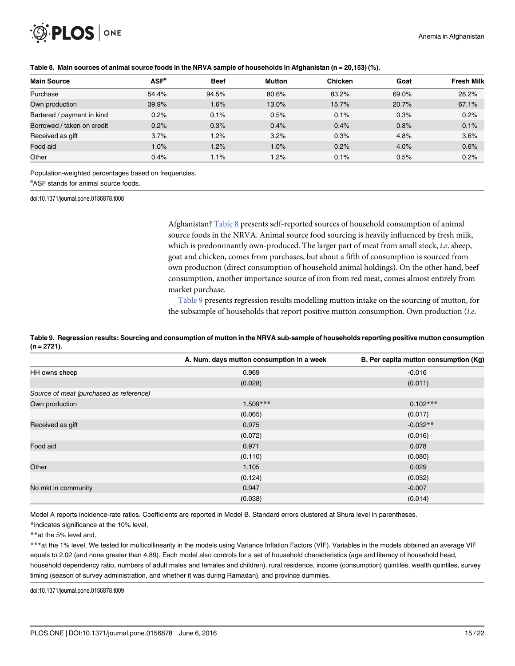

| <b>Main Source</b>         | $\mathsf{ASF}^a$ | <b>Beef</b> | <b>Mutton</b> | <b>Chicken</b> | Goat  | <b>Fresh Milk</b> |
|----------------------------|------------------|-------------|---------------|----------------|-------|-------------------|
| Purchase                   | 54.4%            | 94.5%       | 80.6%         | 83.2%          | 69.0% | 28.2%             |
| Own production             | 39.9%            | 1.6%        | 13.0%         | 15.7%          | 20.7% | 67.1%             |
| Bartered / payment in kind | 0.2%             | 0.1%        | 0.5%          | 0.1%           | 0.3%  | 0.2%              |
| Borrowed / taken on credit | 0.2%             | 0.3%        | 0.4%          | 0.4%           | 0.8%  | 0.1%              |
| Received as gift           | 3.7%             | 1.2%        | 3.2%          | 0.3%           | 4.8%  | 3.6%              |
| Food aid                   | 1.0%             | 1.2%        | $1.0\%$       | 0.2%           | 4.0%  | 0.6%              |
| Other                      | 0.4%             | 1.1%        | $1.2\%$       | 0.1%           | 0.5%  | 0.2%              |

[Table 8.](#page-13-0) Main sources of animal source foods in the NRVA sample of households in Afghanistan (n = 20,153) (%).

Population-weighted percentages based on frequencies.

<sup>a</sup>ASF stands for animal source foods.

doi:10.1371/journal.pone.0156878.t008

Afghanistan? Table 8 presents self-reported sources of household consumption of animal source foods in the NRVA. Animal source food sourcing is heavily influenced by fresh milk, which is predominantly own-produced. The larger part of meat from small stock, *i.e.* sheep, goat and chicken, comes from purchases, but about a fifth of consumption is sourced from own production (direct consumption of household animal holdings). On the other hand, beef consumption, another importance source of iron from red meat, comes almost entirely from market purchase.

Table 9 presents regression results modelling mutton intake on the sourcing of mutton, for the subsample of households that report positive mutton consumption. Own production (i.e.

#### Table 9. Regression results: Sourcing and consumption of mutton in the NRVA sub-sample of households reporting positive mutton consumption  $(n = 2721)$ .

|                                         | A. Num. days mutton consumption in a week | B. Per capita mutton consumption (Kg) |
|-----------------------------------------|-------------------------------------------|---------------------------------------|
| HH owns sheep                           | 0.969                                     | $-0.016$                              |
|                                         | (0.028)                                   | (0.011)                               |
| Source of meat (purchased as reference) |                                           |                                       |
| Own production                          | $1.509***$                                | $0.102***$                            |
|                                         | (0.065)                                   | (0.017)                               |
| Received as gift                        | 0.975                                     | $-0.032**$                            |
|                                         | (0.072)                                   | (0.016)                               |
| Food aid                                | 0.971                                     | 0.078                                 |
|                                         | (0.110)                                   | (0.080)                               |
| Other                                   | 1.105                                     | 0.029                                 |
|                                         | (0.124)                                   | (0.032)                               |
| No mkt in community                     | 0.947                                     | $-0.007$                              |
|                                         | (0.038)                                   | (0.014)                               |

Model A reports incidence-rate ratios. Coefficients are reported in Model B. Standard errors clustered at Shura level in parentheses. \*indicates significance at the 10% level,

\*\*at the 5% level and,

\*\*\*at the 1% level. We tested for multicollinearity in the models using Variance Inflation Factors (VIF). Variables in the models obtained an average VIF equals to 2.02 (and none greater than 4.89). Each model also controls for a set of household characteristics (age and literacy of household head, household dependency ratio, numbers of adult males and females and children), rural residence, income (consumption) quintiles, wealth quintiles, survey timing (season of survey administration, and whether it was during Ramadan), and province dummies.

doi:10.1371/journal.pone.0156878.t009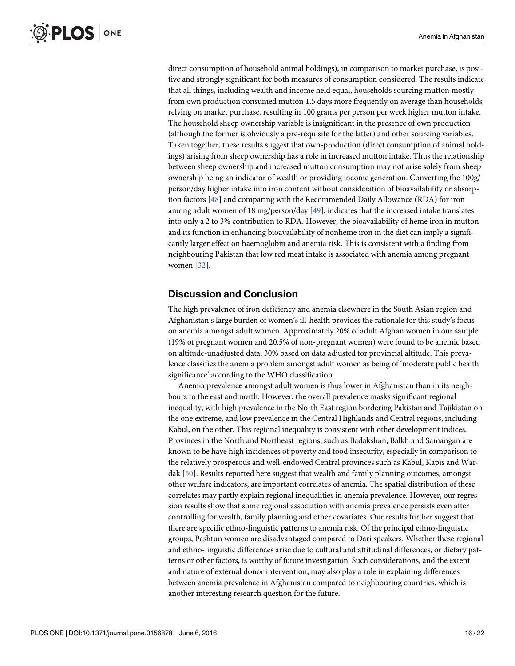<span id="page-15-0"></span>direct consumption of household animal holdings), in comparison to market purchase, is positive and strongly significant for both measures of consumption considered. The results indicate that all things, including wealth and income held equal, households sourcing mutton mostly from own production consumed mutton 1.5 days more frequently on average than households relying on market purchase, resulting in 100 grams per person per week higher mutton intake. The household sheep ownership variable is insignificant in the presence of own production (although the former is obviously a pre-requisite for the latter) and other sourcing variables. Taken together, these results suggest that own-production (direct consumption of animal holdings) arising from sheep ownership has a role in increased mutton intake. Thus the relationship between sheep ownership and increased mutton consumption may not arise solely from sheep ownership being an indicator of wealth or providing income generation. Converting the 100g/ person/day higher intake into iron content without consideration of bioavailability or absorption factors [[48](#page-20-0)] and comparing with the Recommended Daily Allowance (RDA) for iron among adult women of 18 mg/person/day [[49\]](#page-20-0), indicates that the increased intake translates into only a 2 to 3% contribution to RDA. However, the bioavailability of heme iron in mutton and its function in enhancing bioavailability of nonheme iron in the diet can imply a significantly larger effect on haemoglobin and anemia risk. This is consistent with a finding from neighbouring Pakistan that low red meat intake is associated with anemia among pregnant women [\[32\]](#page-20-0).

## Discussion and Conclusion

The high prevalence of iron deficiency and anemia elsewhere in the South Asian region and Afghanistan's large burden of women's ill-health provides the rationale for this study's focus on anemia amongst adult women. Approximately 20% of adult Afghan women in our sample (19% of pregnant women and 20.5% of non-pregnant women) were found to be anemic based on altitude-unadjusted data, 30% based on data adjusted for provincial altitude. This prevalence classifies the anemia problem amongst adult women as being of 'moderate public health significance' according to the WHO classification.

Anemia prevalence amongst adult women is thus lower in Afghanistan than in its neighbours to the east and north. However, the overall prevalence masks significant regional inequality, with high prevalence in the North East region bordering Pakistan and Tajikistan on the one extreme, and low prevalence in the Central Highlands and Central regions, including Kabul, on the other. This regional inequality is consistent with other development indices. Provinces in the North and Northeast regions, such as Badakshan, Balkh and Samangan are known to be have high incidences of poverty and food insecurity, especially in comparison to the relatively prosperous and well-endowed Central provinces such as Kabul, Kapis and Wardak [\[50\]](#page-21-0). Results reported here suggest that wealth and family planning outcomes, amongst other welfare indicators, are important correlates of anemia. The spatial distribution of these correlates may partly explain regional inequalities in anemia prevalence. However, our regression results show that some regional association with anemia prevalence persists even after controlling for wealth, family planning and other covariates. Our results further suggest that there are specific ethno-linguistic patterns to anemia risk. Of the principal ethno-linguistic groups, Pashtun women are disadvantaged compared to Dari speakers. Whether these regional and ethno-linguistic differences arise due to cultural and attitudinal differences, or dietary patterns or other factors, is worthy of future investigation. Such considerations, and the extent and nature of external donor intervention, may also play a role in explaining differences between anemia prevalence in Afghanistan compared to neighbouring countries, which is another interesting research question for the future.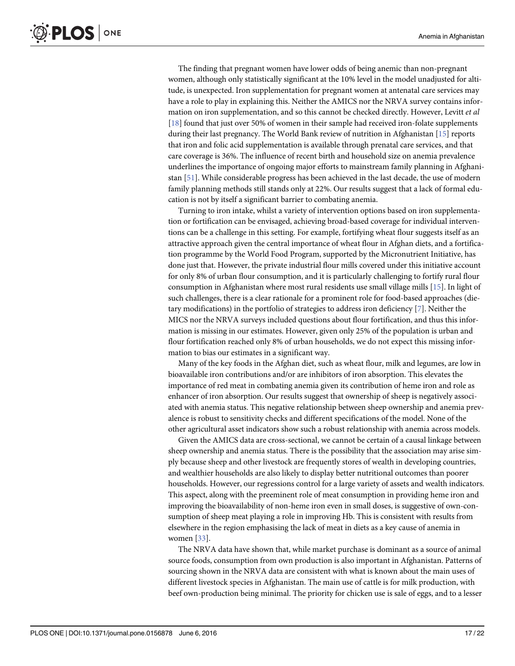<span id="page-16-0"></span>The finding that pregnant women have lower odds of being anemic than non-pregnant women, although only statistically significant at the 10% level in the model unadjusted for altitude, is unexpected. Iron supplementation for pregnant women at antenatal care services may have a role to play in explaining this. Neither the AMICS nor the NRVA survey contains information on iron supplementation, and so this cannot be checked directly. However, Levitt et al [\[18](#page-19-0)] found that just over 50% of women in their sample had received iron-folate supplements during their last pregnancy. The World Bank review of nutrition in Afghanistan [\[15\]](#page-19-0) reports that iron and folic acid supplementation is available through prenatal care services, and that care coverage is 36%. The influence of recent birth and household size on anemia prevalence underlines the importance of ongoing major efforts to mainstream family planning in Afghanistan [\[51\]](#page-21-0). While considerable progress has been achieved in the last decade, the use of modern family planning methods still stands only at 22%. Our results suggest that a lack of formal education is not by itself a significant barrier to combating anemia.

Turning to iron intake, whilst a variety of intervention options based on iron supplementation or fortification can be envisaged, achieving broad-based coverage for individual interventions can be a challenge in this setting. For example, fortifying wheat flour suggests itself as an attractive approach given the central importance of wheat flour in Afghan diets, and a fortification programme by the World Food Program, supported by the Micronutrient Initiative, has done just that. However, the private industrial flour mills covered under this initiative account for only 8% of urban flour consumption, and it is particularly challenging to fortify rural flour consumption in Afghanistan where most rural residents use small village mills [[15](#page-19-0)]. In light of such challenges, there is a clear rationale for a prominent role for food-based approaches (dietary modifications) in the portfolio of strategies to address iron deficiency [\[7](#page-19-0)]. Neither the MICS nor the NRVA surveys included questions about flour fortification, and thus this information is missing in our estimates. However, given only 25% of the population is urban and flour fortification reached only 8% of urban households, we do not expect this missing information to bias our estimates in a significant way.

Many of the key foods in the Afghan diet, such as wheat flour, milk and legumes, are low in bioavailable iron contributions and/or are inhibitors of iron absorption. This elevates the importance of red meat in combating anemia given its contribution of heme iron and role as enhancer of iron absorption. Our results suggest that ownership of sheep is negatively associated with anemia status. This negative relationship between sheep ownership and anemia prevalence is robust to sensitivity checks and different specifications of the model. None of the other agricultural asset indicators show such a robust relationship with anemia across models.

Given the AMICS data are cross-sectional, we cannot be certain of a causal linkage between sheep ownership and anemia status. There is the possibility that the association may arise simply because sheep and other livestock are frequently stores of wealth in developing countries, and wealthier households are also likely to display better nutritional outcomes than poorer households. However, our regressions control for a large variety of assets and wealth indicators. This aspect, along with the preeminent role of meat consumption in providing heme iron and improving the bioavailability of non-heme iron even in small doses, is suggestive of own-consumption of sheep meat playing a role in improving Hb. This is consistent with results from elsewhere in the region emphasising the lack of meat in diets as a key cause of anemia in women [\[33\]](#page-20-0).

The NRVA data have shown that, while market purchase is dominant as a source of animal source foods, consumption from own production is also important in Afghanistan. Patterns of sourcing shown in the NRVA data are consistent with what is known about the main uses of different livestock species in Afghanistan. The main use of cattle is for milk production, with beef own-production being minimal. The priority for chicken use is sale of eggs, and to a lesser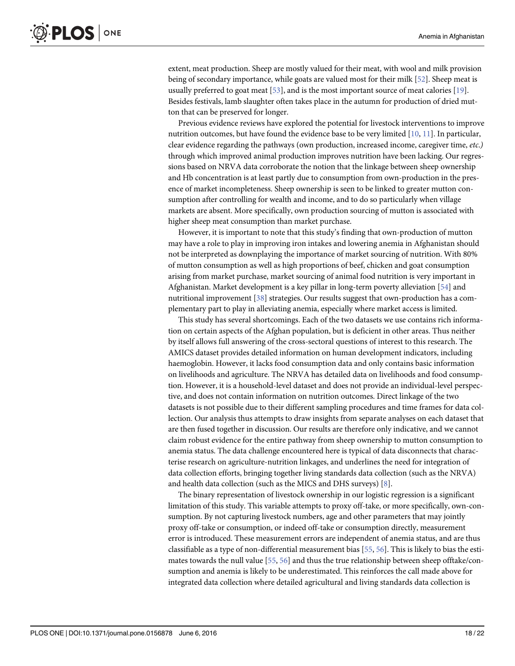<span id="page-17-0"></span>extent, meat production. Sheep are mostly valued for their meat, with wool and milk provision being of secondary importance, while goats are valued most for their milk [\[52\]](#page-21-0). Sheep meat is usually preferred to goat meat  $[53]$ , and is the most important source of meat calories  $[19]$ . Besides festivals, lamb slaughter often takes place in the autumn for production of dried mutton that can be preserved for longer.

Previous evidence reviews have explored the potential for livestock interventions to improve nutrition outcomes, but have found the evidence base to be very limited [[10](#page-19-0), [11](#page-19-0)]. In particular, clear evidence regarding the pathways (own production, increased income, caregiver time, etc.) through which improved animal production improves nutrition have been lacking. Our regressions based on NRVA data corroborate the notion that the linkage between sheep ownership and Hb concentration is at least partly due to consumption from own-production in the presence of market incompleteness. Sheep ownership is seen to be linked to greater mutton consumption after controlling for wealth and income, and to do so particularly when village markets are absent. More specifically, own production sourcing of mutton is associated with higher sheep meat consumption than market purchase.

However, it is important to note that this study's finding that own-production of mutton may have a role to play in improving iron intakes and lowering anemia in Afghanistan should not be interpreted as downplaying the importance of market sourcing of nutrition. With 80% of mutton consumption as well as high proportions of beef, chicken and goat consumption arising from market purchase, market sourcing of animal food nutrition is very important in Afghanistan. Market development is a key pillar in long-term poverty alleviation [[54](#page-21-0)] and nutritional improvement [[38](#page-20-0)] strategies. Our results suggest that own-production has a complementary part to play in alleviating anemia, especially where market access is limited.

This study has several shortcomings. Each of the two datasets we use contains rich information on certain aspects of the Afghan population, but is deficient in other areas. Thus neither by itself allows full answering of the cross-sectoral questions of interest to this research. The AMICS dataset provides detailed information on human development indicators, including haemoglobin. However, it lacks food consumption data and only contains basic information on livelihoods and agriculture. The NRVA has detailed data on livelihoods and food consumption. However, it is a household-level dataset and does not provide an individual-level perspective, and does not contain information on nutrition outcomes. Direct linkage of the two datasets is not possible due to their different sampling procedures and time frames for data collection. Our analysis thus attempts to draw insights from separate analyses on each dataset that are then fused together in discussion. Our results are therefore only indicative, and we cannot claim robust evidence for the entire pathway from sheep ownership to mutton consumption to anemia status. The data challenge encountered here is typical of data disconnects that characterise research on agriculture-nutrition linkages, and underlines the need for integration of data collection efforts, bringing together living standards data collection (such as the NRVA) and health data collection (such as the MICS and DHS surveys) [\[8](#page-19-0)].

The binary representation of livestock ownership in our logistic regression is a significant limitation of this study. This variable attempts to proxy off-take, or more specifically, own-consumption. By not capturing livestock numbers, age and other parameters that may jointly proxy off-take or consumption, or indeed off-take or consumption directly, measurement error is introduced. These measurement errors are independent of anemia status, and are thus classifiable as a type of non-differential measurement bias [\[55,](#page-21-0) [56\]](#page-21-0). This is likely to bias the estimates towards the null value [[55](#page-21-0), [56](#page-21-0)] and thus the true relationship between sheep offtake/consumption and anemia is likely to be underestimated. This reinforces the call made above for integrated data collection where detailed agricultural and living standards data collection is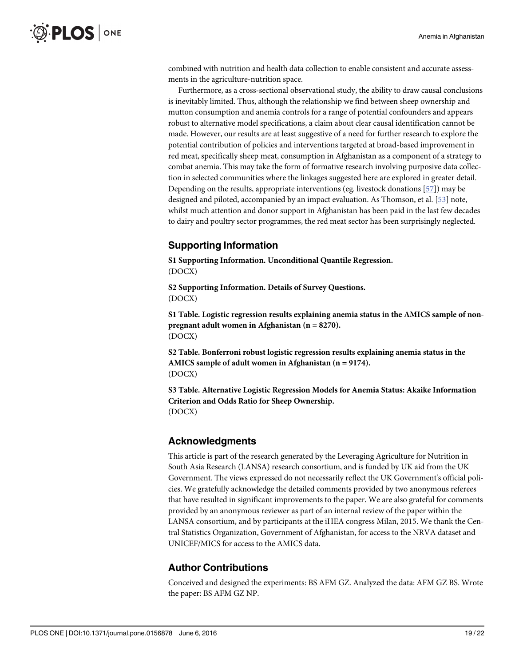<span id="page-18-0"></span>combined with nutrition and health data collection to enable consistent and accurate assessments in the agriculture-nutrition space.

Furthermore, as a cross-sectional observational study, the ability to draw causal conclusions is inevitably limited. Thus, although the relationship we find between sheep ownership and mutton consumption and anemia controls for a range of potential confounders and appears robust to alternative model specifications, a claim about clear causal identification cannot be made. However, our results are at least suggestive of a need for further research to explore the potential contribution of policies and interventions targeted at broad-based improvement in red meat, specifically sheep meat, consumption in Afghanistan as a component of a strategy to combat anemia. This may take the form of formative research involving purposive data collection in selected communities where the linkages suggested here are explored in greater detail. Depending on the results, appropriate interventions (eg. livestock donations [\[57\]](#page-21-0)) may be designed and piloted, accompanied by an impact evaluation. As Thomson, et al. [[53](#page-21-0)] note, whilst much attention and donor support in Afghanistan has been paid in the last few decades to dairy and poultry sector programmes, the red meat sector has been surprisingly neglected.

## Supporting Information

[S1 Supporting Information.](http://www.plosone.org/article/fetchSingleRepresentation.action?uri=info:doi/10.1371/journal.pone.0156878.s001) Unconditional Quantile Regression. (DOCX)

[S2 Supporting Information.](http://www.plosone.org/article/fetchSingleRepresentation.action?uri=info:doi/10.1371/journal.pone.0156878.s002) Details of Survey Questions. (DOCX)

[S1 Table](http://www.plosone.org/article/fetchSingleRepresentation.action?uri=info:doi/10.1371/journal.pone.0156878.s003). Logistic regression results explaining anemia status in the AMICS sample of nonpregnant adult women in Afghanistan (n = 8270). (DOCX)

[S2 Table](http://www.plosone.org/article/fetchSingleRepresentation.action?uri=info:doi/10.1371/journal.pone.0156878.s004). Bonferroni robust logistic regression results explaining anemia status in the AMICS sample of adult women in Afghanistan (n = 9174). (DOCX)

[S3 Table](http://www.plosone.org/article/fetchSingleRepresentation.action?uri=info:doi/10.1371/journal.pone.0156878.s005). Alternative Logistic Regression Models for Anemia Status: Akaike Information Criterion and Odds Ratio for Sheep Ownership. (DOCX)

## Acknowledgments

This article is part of the research generated by the Leveraging Agriculture for Nutrition in South Asia Research (LANSA) research consortium, and is funded by UK aid from the UK Government. The views expressed do not necessarily reflect the UK Government's official policies. We gratefully acknowledge the detailed comments provided by two anonymous referees that have resulted in significant improvements to the paper. We are also grateful for comments provided by an anonymous reviewer as part of an internal review of the paper within the LANSA consortium, and by participants at the iHEA congress Milan, 2015. We thank the Central Statistics Organization, Government of Afghanistan, for access to the NRVA dataset and UNICEF/MICS for access to the AMICS data.

## Author Contributions

Conceived and designed the experiments: BS AFM GZ. Analyzed the data: AFM GZ BS. Wrote the paper: BS AFM GZ NP.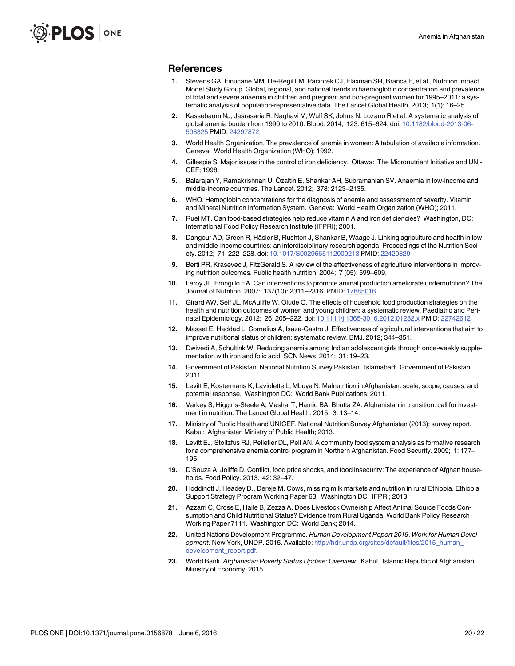## <span id="page-19-0"></span>References

- [1.](#page-1-0) Stevens GA, Finucane MM, De-Regil LM, Paciorek CJ, Flaxman SR, Branca F, et al., Nutrition Impact Model Study Group. Global, regional, and national trends in haemoglobin concentration and prevalence of total and severe anaemia in children and pregnant and non-pregnant women for 1995–2011: a systematic analysis of population-representative data. The Lancet Global Health. 2013; 1(1): 16–25.
- [2.](#page-1-0) Kassebaum NJ, Jasrasaria R, Naghavi M, Wulf SK, Johns N, Lozano R et al. A systematic analysis of global anemia burden from 1990 to 2010. Blood; 2014; 123: 615–624. doi: [10.1182/blood-2013-06-](http://dx.doi.org/10.1182/blood-2013-06-508325) [508325](http://dx.doi.org/10.1182/blood-2013-06-508325) PMID: [24297872](http://www.ncbi.nlm.nih.gov/pubmed/24297872)
- [3.](#page-1-0) World Health Organization. The prevalence of anemia in women: A tabulation of available information. Geneva: World Health Organization (WHO); 1992.
- 4. Gillespie S. Major issues in the control of iron deficiency. Ottawa: The Micronutrient Initiative and UNI-CEF; 1998.
- [5.](#page-1-0) Balarajan Y, Ramakrishnan U, Özaltin E, Shankar AH, Subramanian SV. Anaemia in low-income and middle-income countries. The Lancet. 2012; 378: 2123–2135.
- [6.](#page-1-0) WHO. Hemoglobin concentrations for the diagnosis of anemia and assessment of severity. Vitamin and Mineral Nutrition Information System. Geneva: World Health Organization (WHO); 2011.
- [7.](#page-1-0) Ruel MT. Can food-based strategies help reduce vitamin A and iron deficiencies? Washington, DC: International Food Policy Research Institute (IFPRI); 2001.
- [8.](#page-1-0) Dangour AD, Green R, Häsler B, Rushton J, Shankar B, Waage J. Linking agriculture and health in lowand middle-income countries: an interdisciplinary research agenda. Proceedings of the Nutrition Society. 2012; 71: 222–228. doi: [10.1017/S0029665112000213](http://dx.doi.org/10.1017/S0029665112000213) PMID: [22420829](http://www.ncbi.nlm.nih.gov/pubmed/22420829)
- [9.](#page-1-0) Berti PR, Krasevec J, FitzGerald S. A review of the effectiveness of agriculture interventions in improving nutrition outcomes. Public health nutrition. 2004; 7 (05): 599–609.
- [10.](#page-1-0) Leroy JL, Frongillo EA. Can interventions to promote animal production ameliorate undernutrition? The Journal of Nutrition. 2007; 137(10): 2311-2316. PMID: [17885016](http://www.ncbi.nlm.nih.gov/pubmed/17885016)
- [11.](#page-1-0) Girard AW, Self JL, McAuliffe W, Olude O. The effects of household food production strategies on the health and nutrition outcomes of women and young children: a systematic review. Paediatric and Peri-natal Epidemiology. 2012; 26: 205-222. doi: [10.1111/j.1365-3016.2012.01282.x](http://dx.doi.org/10.1111/j.1365-3016.2012.01282.x) PMID: [22742612](http://www.ncbi.nlm.nih.gov/pubmed/22742612)
- [12.](#page-1-0) Masset E, Haddad L, Cornelius A, Isaza-Castro J. Effectiveness of agricultural interventions that aim to improve nutritional status of children: systematic review. BMJ. 2012; 344–351.
- [13.](#page-1-0) Dwivedi A, Schultink W. Reducing anemia among Indian adolescent girls through once-weekly supplementation with iron and folic acid. SCN News. 2014; 31: 19–23.
- [14.](#page-1-0) Government of Pakistan. National Nutrition Survey Pakistan. Islamabad: Government of Pakistan; 2011.
- [15.](#page-1-0) Levitt E, Kostermans K, Laviolette L, Mbuya N. Malnutrition in Afghanistan: scale, scope, causes, and potential response. Washington DC: World Bank Publications; 2011.
- [16.](#page-2-0) Varkey S, Higgins-Steele A, Mashal T, Hamid BA, Bhutta ZA. Afghanistan in transition: call for investment in nutrition. The Lancet Global Health. 2015; 3: 13–14.
- [17.](#page-2-0) Ministry of Public Health and UNICEF. National Nutrition Survey Afghanistan (2013): survey report. Kabul: Afghanistan Ministry of Public Health; 2013.
- [18.](#page-2-0) Levitt EJ, Stoltzfus RJ, Pelletier DL, Pell AN. A community food system analysis as formative research for a comprehensive anemia control program in Northern Afghanistan. Food Security. 2009; 1: 177– 195.
- [19.](#page-2-0) D'Souza A, Joliffe D. Conflict, food price shocks, and food insecurity: The experience of Afghan households. Food Policy. 2013. 42: 32–47.
- [20.](#page-2-0) Hoddinott J, Headey D., Dereje M. Cows, missing milk markets and nutrition in rural Ethiopia. Ethiopia Support Strategy Program Working Paper 63. Washington DC: IFPRI; 2013.
- [21.](#page-2-0) Azzarri C, Cross E, Haile B, Zezza A. Does Livestock Ownership Affect Animal Source Foods Consumption and Child Nutritional Status? Evidence from Rural Uganda. World Bank Policy Research Working Paper 7111. Washington DC: World Bank; 2014.
- [22.](#page-2-0) United Nations Development Programme. Human Development Report 2015. Work for Human Development. New York, UNDP. 2015. Available: [http://hdr.undp.org/sites/default/files/2015\\_human\\_](http://hdr.undp.org/sites/default/files/2015_human_development_report.pdf) [development\\_report.pdf](http://hdr.undp.org/sites/default/files/2015_human_development_report.pdf).
- [23.](#page-2-0) World Bank. Afghanistan Poverty Status Update: Overview. Kabul, Islamic Republic of Afghanistan Ministry of Economy. 2015.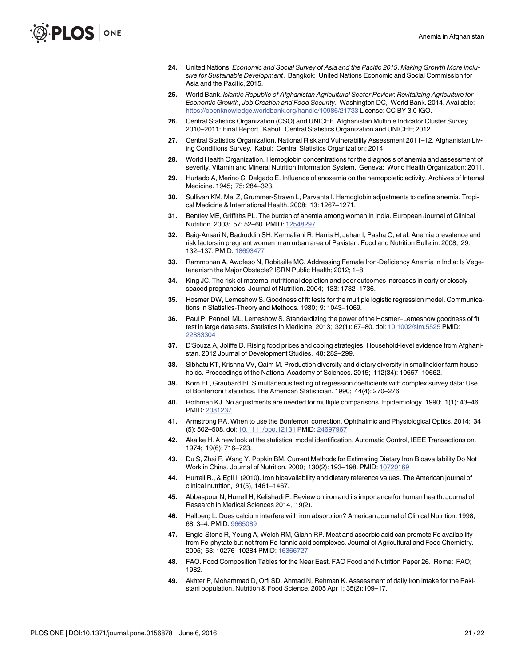- <span id="page-20-0"></span>[24.](#page-2-0) United Nations. Economic and Social Survey of Asia and the Pacific 2015. Making Growth More Inclusive for Sustainable Development. Bangkok: United Nations Economic and Social Commission for Asia and the Pacific, 2015.
- [25.](#page-2-0) World Bank. Islamic Republic of Afghanistan Agricultural Sector Review: Revitalizing Agriculture for Economic Growth, Job Creation and Food Security. Washington DC, World Bank. 2014. Available: <https://openknowledge.worldbank.org/handle/10986/21733> License: CC BY 3.0 IGO.
- [26.](#page-3-0) Central Statistics Organization (CSO) and UNICEF. Afghanistan Multiple Indicator Cluster Survey 2010–2011: Final Report. Kabul: Central Statistics Organization and UNICEF; 2012.
- [27.](#page-3-0) Central Statistics Organization. National Risk and Vulnerability Assessment 2011–12. Afghanistan Living Conditions Survey. Kabul: Central Statistics Organization; 2014.
- [28.](#page-4-0) World Health Organization. Hemoglobin concentrations for the diagnosis of anemia and assessment of severity. Vitamin and Mineral Nutrition Information System. Geneva: World Health Organization; 2011.
- [29.](#page-4-0) Hurtado A, Merino C, Delgado E. Influence of anoxemia on the hemopoietic activity. Archives of Internal Medicine. 1945; 75: 284–323.
- [30.](#page-4-0) Sullivan KM, Mei Z, Grummer-Strawn L, Parvanta I. Hemoglobin adjustments to define anemia. Tropical Medicine & International Health. 2008; 13: 1267–1271.
- [31.](#page-4-0) Bentley ME, Griffiths PL. The burden of anemia among women in India. European Journal of Clinical Nutrition. 2003; 57: 52–60. PMID: [12548297](http://www.ncbi.nlm.nih.gov/pubmed/12548297)
- [32.](#page-8-0) Baig-Ansari N, Badruddin SH, Karmaliani R, Harris H, Jehan I, Pasha O, et al. Anemia prevalence and risk factors in pregnant women in an urban area of Pakistan. Food and Nutrition Bulletin. 2008; 29: 132–137. PMID: [18693477](http://www.ncbi.nlm.nih.gov/pubmed/18693477)
- [33.](#page-4-0) Rammohan A, Awofeso N, Robitaille MC. Addressing Female Iron-Deficiency Anemia in India: Is Vegetarianism the Major Obstacle? ISRN Public Health; 2012; 1–8.
- [34.](#page-5-0) King JC. The risk of maternal nutritional depletion and poor outcomes increases in early or closely spaced pregnancies. Journal of Nutrition. 2004; 133: 1732–1736.
- [35.](#page-5-0) Hosmer DW, Lemeshow S. Goodness of fit tests for the multiple logistic regression model. Communications in Statistics-Theory and Methods. 1980; 9: 1043–1069.
- [36.](#page-5-0) Paul P, Pennell ML, Lemeshow S. Standardizing the power of the Hosmer–Lemeshow goodness of fit test in large data sets. Statistics in Medicine. 2013; 32(1): 67–80. doi: [10.1002/sim.5525](http://dx.doi.org/10.1002/sim.5525) PMID: [22833304](http://www.ncbi.nlm.nih.gov/pubmed/22833304)
- [37.](#page-6-0) D'Souza A, Joliffe D. Rising food prices and coping strategies: Household-level evidence from Afghanistan. 2012 Journal of Development Studies. 48: 282–299.
- [38.](#page-6-0) Sibhatu KT, Krishna VV, Qaim M. Production diversity and dietary diversity in smallholder farm households. Proceedings of the National Academy of Sciences. 2015; 112(34): 10657–10662.
- [39.](#page-10-0) Korn EL, Graubard BI. Simultaneous testing of regression coefficients with complex survey data: Use of Bonferroni t statistics. The American Statistician. 1990; 44(4): 270–276.
- [40.](#page-11-0) Rothman KJ. No adjustments are needed for multiple comparisons. Epidemiology. 1990; 1(1): 43–46. PMID: [2081237](http://www.ncbi.nlm.nih.gov/pubmed/2081237)
- [41.](#page-11-0) Armstrong RA. When to use the Bonferroni correction. Ophthalmic and Physiological Optics. 2014; 34 (5): 502–508. doi: [10.1111/opo.12131](http://dx.doi.org/10.1111/opo.12131) PMID: [24697967](http://www.ncbi.nlm.nih.gov/pubmed/24697967)
- [42.](#page-11-0) Akaike H. A new look at the statistical model identification. Automatic Control, IEEE Transactions on. 1974; 19(6): 716–723.
- [43.](#page-11-0) Du S, Zhai F, Wang Y, Popkin BM. Current Methods for Estimating Dietary Iron Bioavailability Do Not Work in China. Journal of Nutrition. 2000; 130(2): 193–198. PMID: [10720169](http://www.ncbi.nlm.nih.gov/pubmed/10720169)
- [44.](#page-11-0) Hurrell R., & Egli I. (2010). Iron bioavailability and dietary reference values. The American journal of clinical nutrition, 91(5), 1461–1467.
- [45.](#page-11-0) Abbaspour N, Hurrell H, Kelishadi R. Review on iron and its importance for human health. Journal of Research in Medical Sciences 2014, 19(2).
- [46.](#page-11-0) Hallberg L. Does calcium interfere with iron absorption? American Journal of Clinical Nutrition. 1998; 68: 3–4. PMID: [9665089](http://www.ncbi.nlm.nih.gov/pubmed/9665089)
- [47.](#page-12-0) Engle-Stone R, Yeung A, Welch RM, Glahn RP. Meat and ascorbic acid can promote Fe availability from Fe-phytate but not from Fe-tannic acid complexes. Journal of Agricultural and Food Chemistry. 2005; 53: 10276–10284 PMID: [16366727](http://www.ncbi.nlm.nih.gov/pubmed/16366727)
- [48.](#page-15-0) FAO. Food Composition Tables for the Near East. FAO Food and Nutrition Paper 26. Rome: FAO; 1982.
- [49.](#page-15-0) Akhter P, Mohammad D, Orfi SD, Ahmad N, Rehman K. Assessment of daily iron intake for the Pakistani population. Nutrition & Food Science. 2005 Apr 1; 35(2):109–17.